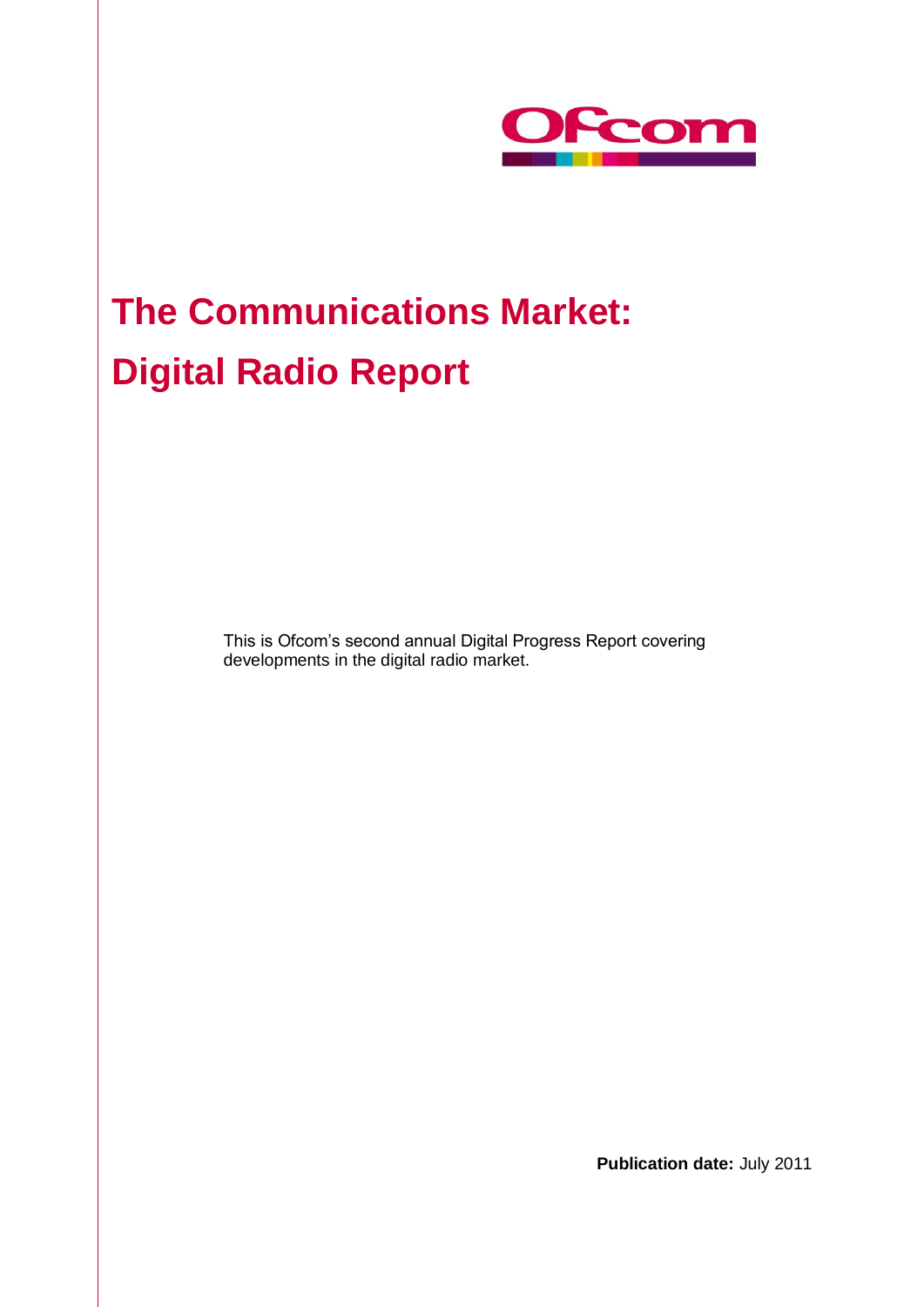

# **The Communications Market: Digital Radio Report**

This is Ofcom's second annual Digital Progress Report covering developments in the digital radio market.

**Publication date:** July 2011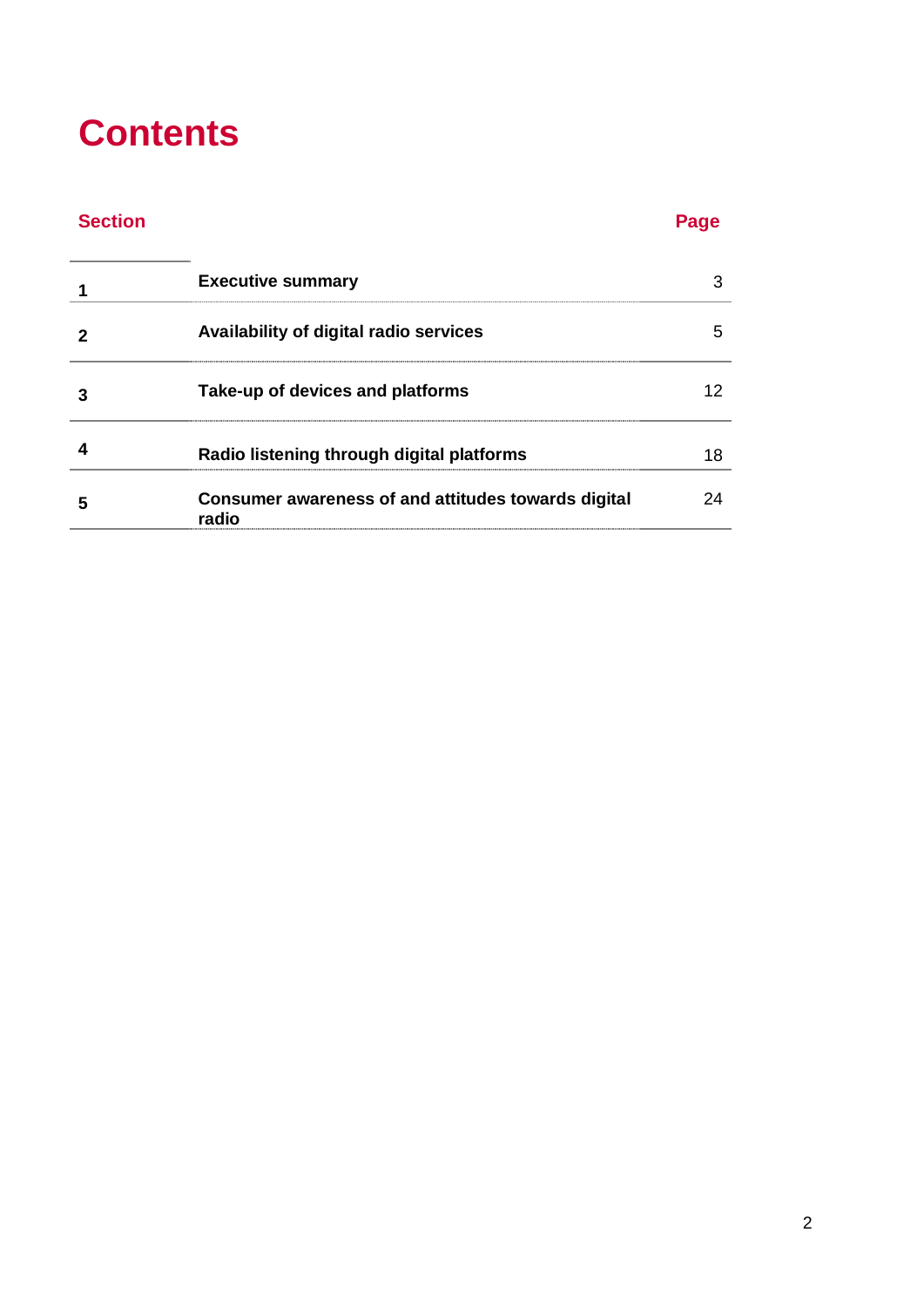# **Contents**

# **Section Page**

| <b>Executive summary</b>                                     |  |
|--------------------------------------------------------------|--|
| Availability of digital radio services                       |  |
| Take-up of devices and platforms                             |  |
| Radio listening through digital platforms                    |  |
| Consumer awareness of and attitudes towards digital<br>radio |  |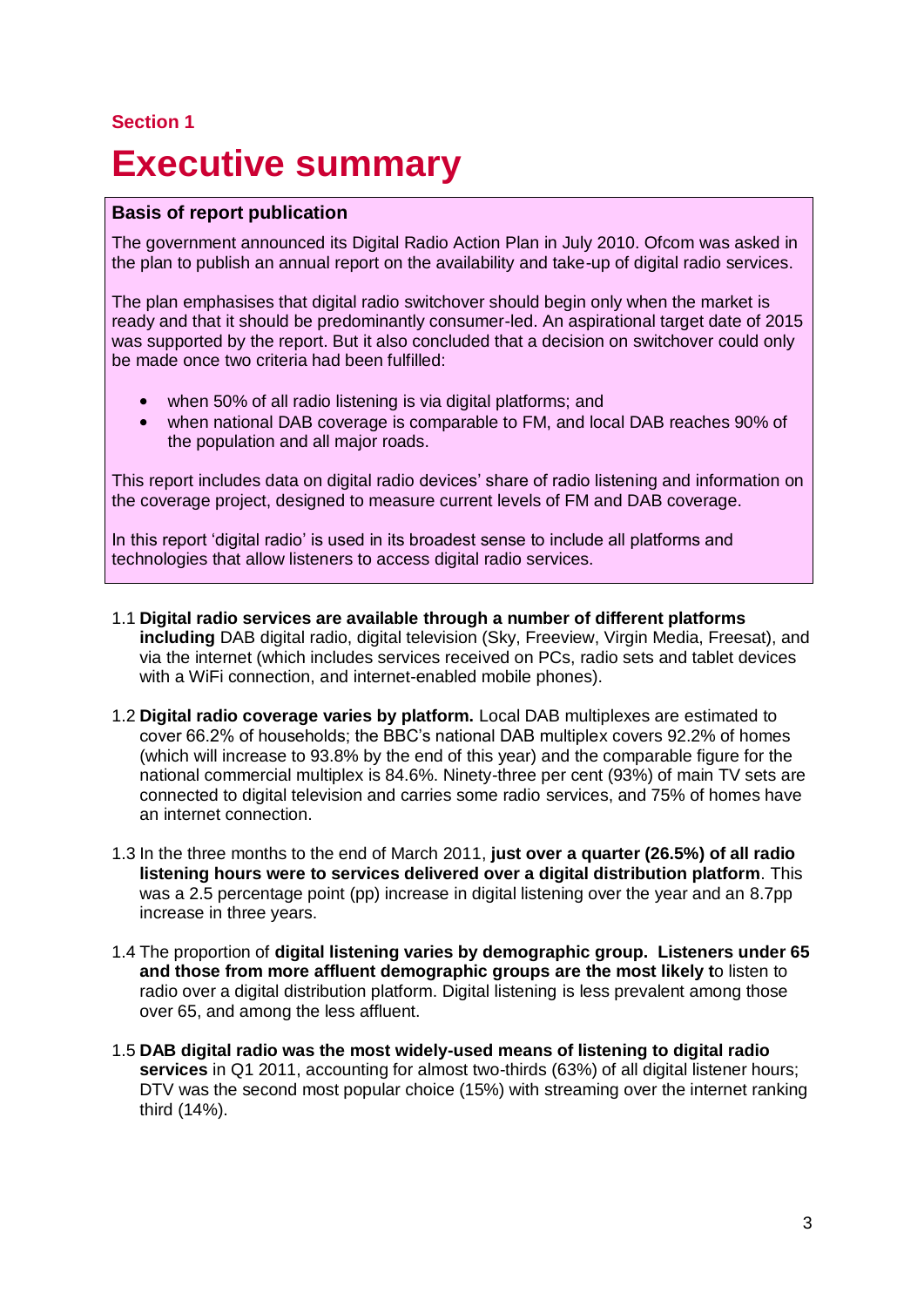# **Section 1**

# **Executive summary**

### **Basis of report publication**

The government announced its Digital Radio Action Plan in July 2010. Ofcom was asked in the plan to publish an annual report on the availability and take-up of digital radio services.

The plan emphasises that digital radio switchover should begin only when the market is ready and that it should be predominantly consumer-led. An aspirational target date of 2015 was supported by the report. But it also concluded that a decision on switchover could only be made once two criteria had been fulfilled:

- when 50% of all radio listening is via digital platforms; and
- when national DAB coverage is comparable to FM, and local DAB reaches 90% of  $\bullet$ the population and all major roads.

This report includes data on digital radio devices' share of radio listening and information on the coverage project, designed to measure current levels of FM and DAB coverage.

In this report 'digital radio' is used in its broadest sense to include all platforms and technologies that allow listeners to access digital radio services.

- 1.1 **Digital radio services are available through a number of different platforms including** DAB digital radio, digital television (Sky, Freeview, Virgin Media, Freesat), and via the internet (which includes services received on PCs, radio sets and tablet devices with a WiFi connection, and internet-enabled mobile phones).
- 1.2 **Digital radio coverage varies by platform.** Local DAB multiplexes are estimated to cover 66.2% of households; the BBC's national DAB multiplex covers 92.2% of homes (which will increase to 93.8% by the end of this year) and the comparable figure for the national commercial multiplex is 84.6%. Ninety-three per cent (93%) of main TV sets are connected to digital television and carries some radio services, and 75% of homes have an internet connection.
- 1.3 In the three months to the end of March 2011, **just over a quarter (26.5%) of all radio listening hours were to services delivered over a digital distribution platform**. This was a 2.5 percentage point (pp) increase in digital listening over the year and an 8.7pp increase in three years.
- 1.4 The proportion of **digital listening varies by demographic group. Listeners under 65 and those from more affluent demographic groups are the most likely t**o listen to radio over a digital distribution platform. Digital listening is less prevalent among those over 65, and among the less affluent.
- 1.5 **DAB digital radio was the most widely-used means of listening to digital radio services** in Q1 2011, accounting for almost two-thirds (63%) of all digital listener hours; DTV was the second most popular choice (15%) with streaming over the internet ranking third (14%).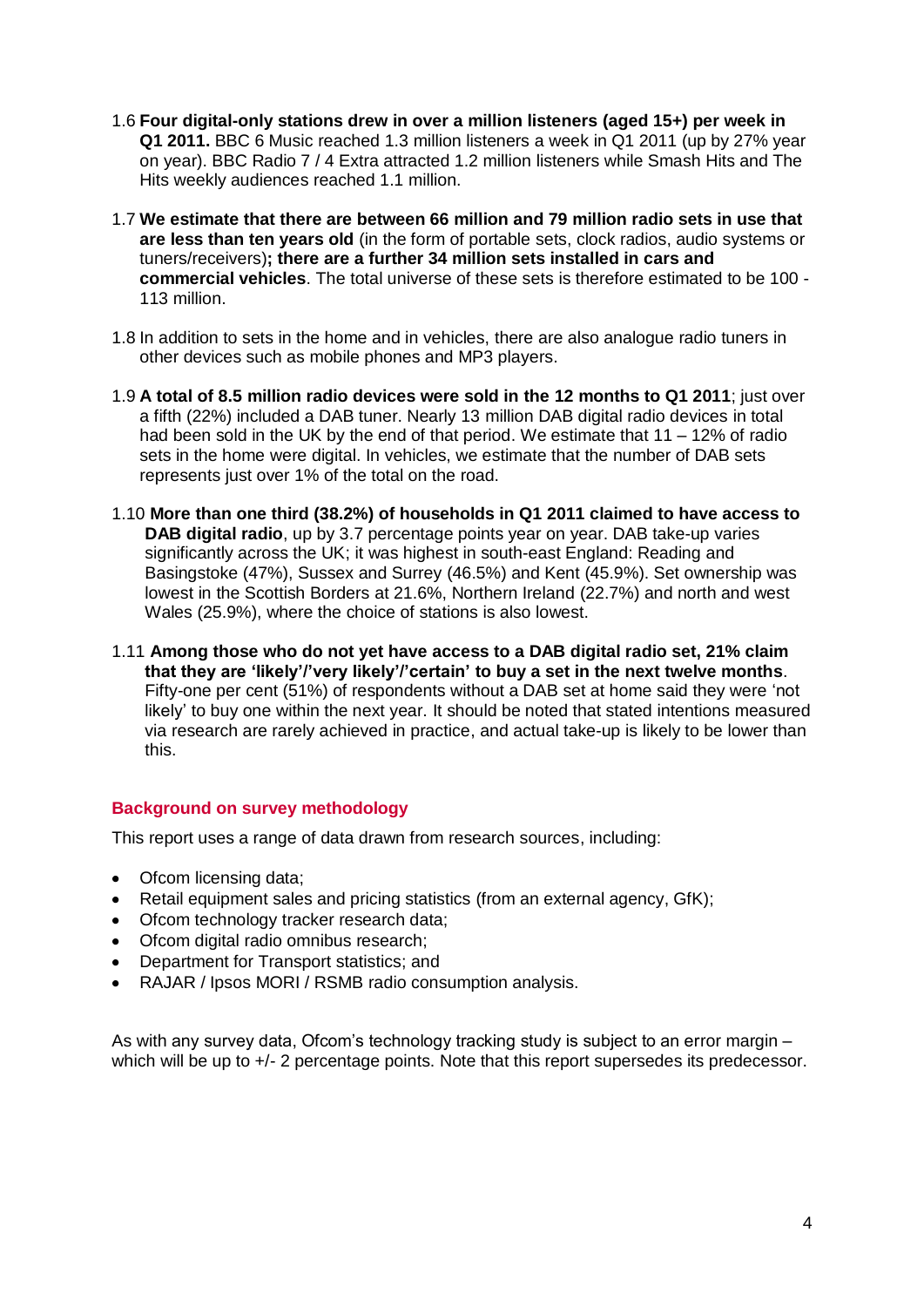- 1.6 **Four digital-only stations drew in over a million listeners (aged 15+) per week in Q1 2011.** BBC 6 Music reached 1.3 million listeners a week in Q1 2011 (up by 27% year on year). BBC Radio 7 / 4 Extra attracted 1.2 million listeners while Smash Hits and The Hits weekly audiences reached 1.1 million.
- 1.7 **We estimate that there are between 66 million and 79 million radio sets in use that are less than ten years old** (in the form of portable sets, clock radios, audio systems or tuners/receivers)**; there are a further 34 million sets installed in cars and commercial vehicles**. The total universe of these sets is therefore estimated to be 100 - 113 million.
- 1.8 In addition to sets in the home and in vehicles, there are also analogue radio tuners in other devices such as mobile phones and MP3 players.
- 1.9 **A total of 8.5 million radio devices were sold in the 12 months to Q1 2011**; just over a fifth (22%) included a DAB tuner. Nearly 13 million DAB digital radio devices in total had been sold in the UK by the end of that period. We estimate that 11 – 12% of radio sets in the home were digital. In vehicles, we estimate that the number of DAB sets represents just over 1% of the total on the road.
- 1.10 **More than one third (38.2%) of households in Q1 2011 claimed to have access to DAB digital radio**, up by 3.7 percentage points year on year. DAB take-up varies significantly across the UK; it was highest in south-east England: Reading and Basingstoke (47%), Sussex and Surrey (46.5%) and Kent (45.9%). Set ownership was lowest in the Scottish Borders at 21.6%, Northern Ireland (22.7%) and north and west Wales (25.9%), where the choice of stations is also lowest.
- 1.11 **Among those who do not yet have access to a DAB digital radio set, 21% claim that they are 'likely'/'very likely'/'certain' to buy a set in the next twelve months**. Fifty-one per cent (51%) of respondents without a DAB set at home said they were 'not likely' to buy one within the next year. It should be noted that stated intentions measured via research are rarely achieved in practice, and actual take-up is likely to be lower than this.

### **Background on survey methodology**

This report uses a range of data drawn from research sources, including:

- Ofcom licensing data;
- $\bullet$ Retail equipment sales and pricing statistics (from an external agency, GfK);
- Ofcom technology tracker research data:
- Ofcom digital radio omnibus research:
- Department for Transport statistics: and
- RAJAR / Ipsos MORI / RSMB radio consumption analysis.

As with any survey data, Ofcom's technology tracking study is subject to an error margin – which will be up to  $+/-$  2 percentage points. Note that this report supersedes its predecessor.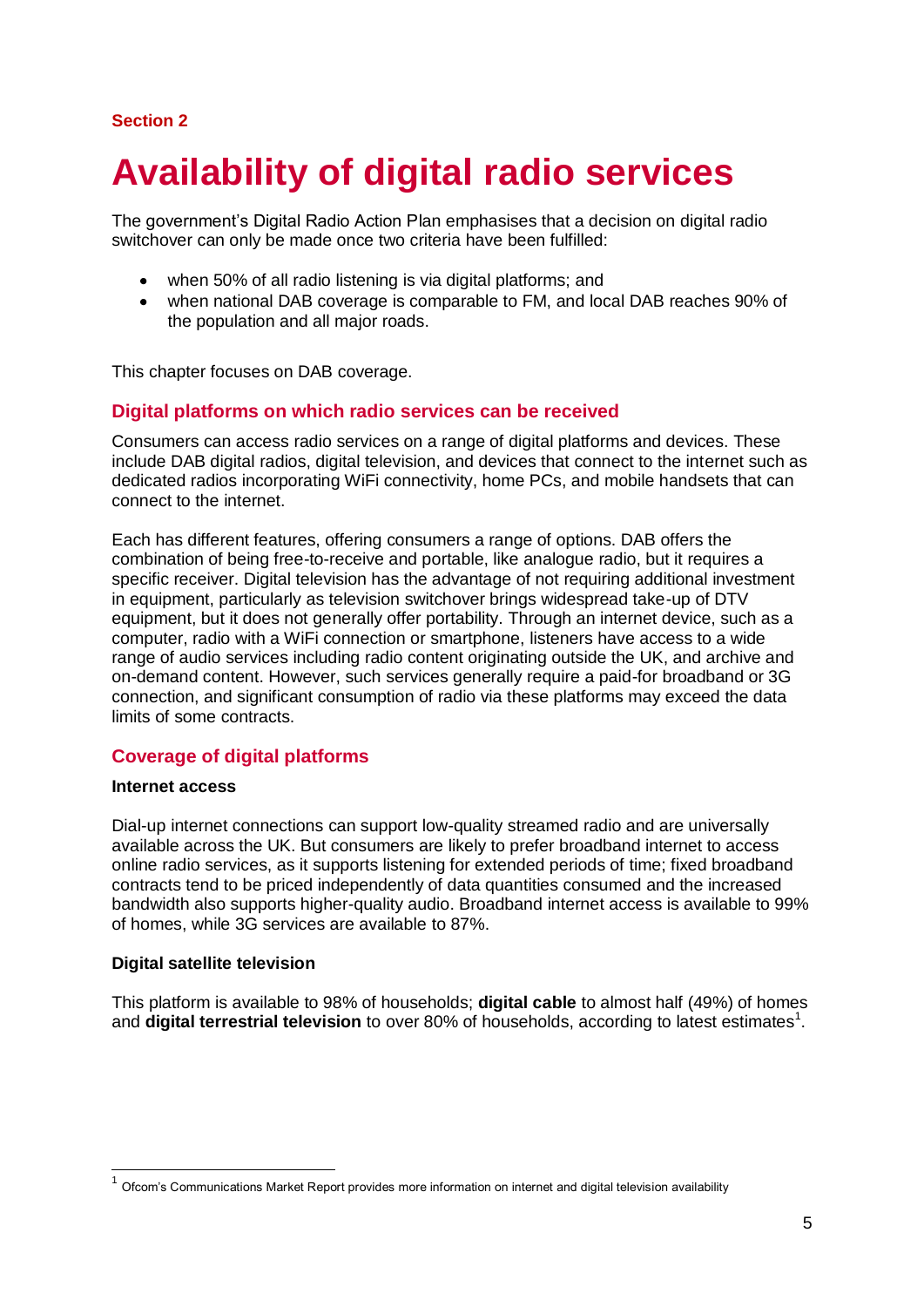## **Section 2**

# **Availability of digital radio services**

The government's Digital Radio Action Plan emphasises that a decision on digital radio switchover can only be made once two criteria have been fulfilled:

- when 50% of all radio listening is via digital platforms; and
- $\bullet$ when national DAB coverage is comparable to FM, and local DAB reaches 90% of the population and all major roads.

This chapter focuses on DAB coverage.

#### **Digital platforms on which radio services can be received**

Consumers can access radio services on a range of digital platforms and devices. These include DAB digital radios, digital television, and devices that connect to the internet such as dedicated radios incorporating WiFi connectivity, home PCs, and mobile handsets that can connect to the internet.

Each has different features, offering consumers a range of options. DAB offers the combination of being free-to-receive and portable, like analogue radio, but it requires a specific receiver. Digital television has the advantage of not requiring additional investment in equipment, particularly as television switchover brings widespread take-up of DTV equipment, but it does not generally offer portability. Through an internet device, such as a computer, radio with a WiFi connection or smartphone, listeners have access to a wide range of audio services including radio content originating outside the UK, and archive and on-demand content. However, such services generally require a paid-for broadband or 3G connection, and significant consumption of radio via these platforms may exceed the data limits of some contracts.

### **Coverage of digital platforms**

#### **Internet access**

-

Dial-up internet connections can support low-quality streamed radio and are universally available across the UK. But consumers are likely to prefer broadband internet to access online radio services, as it supports listening for extended periods of time; fixed broadband contracts tend to be priced independently of data quantities consumed and the increased bandwidth also supports higher-quality audio. Broadband internet access is available to 99% of homes, while 3G services are available to 87%.

#### **Digital satellite television**

This platform is available to 98% of households; **digital cable** to almost half (49%) of homes and digital terrestrial television to over 80% of households, according to latest estimates<sup>1</sup>.

 $1$  Ofcom's Communications Market Report provides more information on internet and digital television availability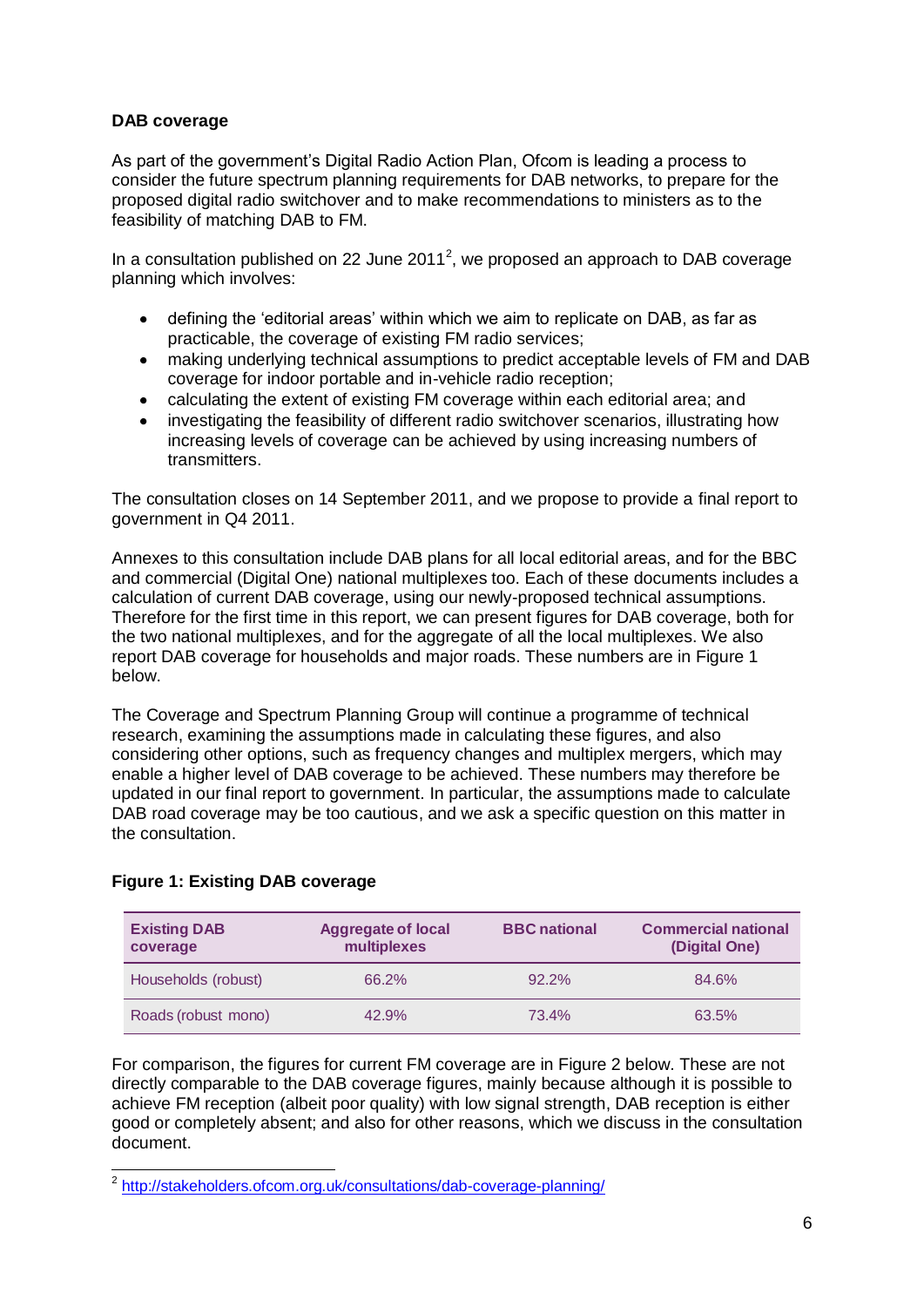### **DAB coverage**

As part of the government's Digital Radio Action Plan, Ofcom is leading a process to consider the future spectrum planning requirements for DAB networks, to prepare for the proposed digital radio switchover and to make recommendations to ministers as to the feasibility of matching DAB to FM.

In a consultation published on 22 June 2011<sup>2</sup>, we proposed an approach to DAB coverage planning which involves:

- $\bullet$ defining the 'editorial areas' within which we aim to replicate on DAB, as far as practicable, the coverage of existing FM radio services;
- making underlying technical assumptions to predict acceptable levels of FM and DAB coverage for indoor portable and in-vehicle radio reception;
- calculating the extent of existing FM coverage within each editorial area; and
- investigating the feasibility of different radio switchover scenarios, illustrating how increasing levels of coverage can be achieved by using increasing numbers of transmitters.

The consultation closes on 14 September 2011, and we propose to provide a final report to government in Q4 2011.

Annexes to this consultation include DAB plans for all local editorial areas, and for the BBC and commercial (Digital One) national multiplexes too. Each of these documents includes a calculation of current DAB coverage, using our newly-proposed technical assumptions. Therefore for the first time in this report, we can present figures for DAB coverage, both for the two national multiplexes, and for the aggregate of all the local multiplexes. We also report DAB coverage for households and major roads. These numbers are in Figure 1 below.

The Coverage and Spectrum Planning Group will continue a programme of technical research, examining the assumptions made in calculating these figures, and also considering other options, such as frequency changes and multiplex mergers, which may enable a higher level of DAB coverage to be achieved. These numbers may therefore be updated in our final report to government. In particular, the assumptions made to calculate DAB road coverage may be too cautious, and we ask a specific question on this matter in the consultation.

#### **Figure 1: Existing DAB coverage**

| <b>Existing DAB</b><br>coverage | <b>Aggregate of local</b><br>multiplexes | <b>BBC</b> national | <b>Commercial national</b><br>(Digital One) |
|---------------------------------|------------------------------------------|---------------------|---------------------------------------------|
| Households (robust)             | 66.2%                                    | $92.2\%$            | 84.6%                                       |
| Roads (robust mono)             | 42.9%                                    | 73.4%               | 63.5%                                       |

For comparison, the figures for current FM coverage are in Figure 2 below. These are not directly comparable to the DAB coverage figures, mainly because although it is possible to achieve FM reception (albeit poor quality) with low signal strength, DAB reception is either good or completely absent; and also for other reasons, which we discuss in the consultation document.

 2 <http://stakeholders.ofcom.org.uk/consultations/dab-coverage-planning/>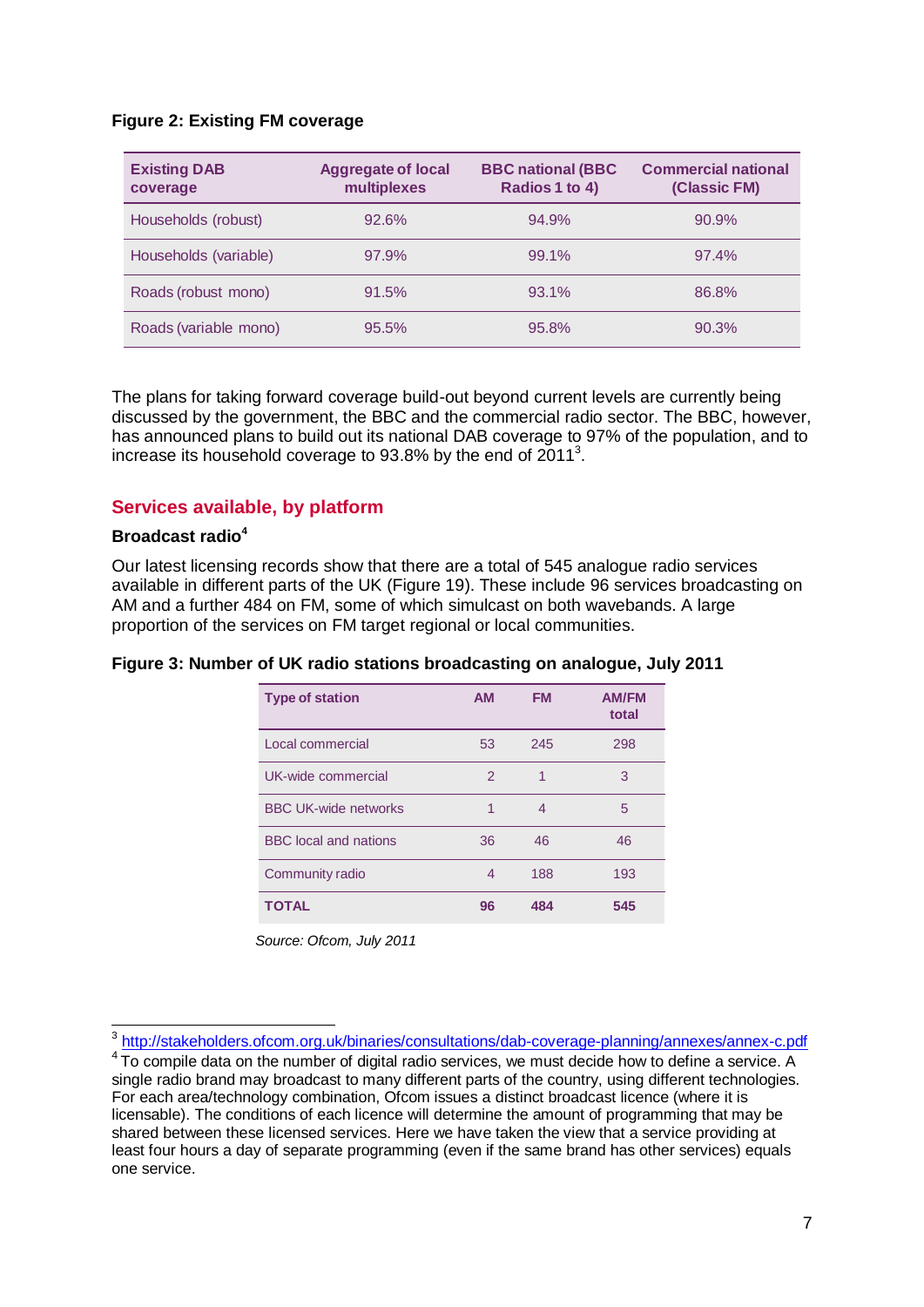#### **Figure 2: Existing FM coverage**

| <b>Existing DAB</b><br>coverage | <b>Aggregate of local</b><br>multiplexes | <b>BBC national (BBC</b><br>Radios 1 to 4) | <b>Commercial national</b><br>(Classic FM) |
|---------------------------------|------------------------------------------|--------------------------------------------|--------------------------------------------|
| Households (robust)             | 92.6%                                    | 94.9%                                      | 90.9%                                      |
| Households (variable)           | 97.9%                                    | 99.1%                                      | 97.4%                                      |
| Roads (robust mono)             | 91.5%                                    | 93.1%                                      | 86.8%                                      |
| Roads (variable mono)           | 95.5%                                    | 95.8%                                      | 90.3%                                      |

The plans for taking forward coverage build-out beyond current levels are currently being discussed by the government, the BBC and the commercial radio sector. The BBC, however, has announced plans to build out its national DAB coverage to 97% of the population, and to increase its household coverage to 93.8% by the end of  $2011<sup>3</sup>$ .

### **Services available, by platform**

#### **Broadcast radio<sup>4</sup>**

Our latest licensing records show that there are a total of 545 analogue radio services available in different parts of the UK (Figure 19). These include 96 services broadcasting on AM and a further 484 on FM, some of which simulcast on both wavebands. A large proportion of the services on FM target regional or local communities.

#### **Figure 3: Number of UK radio stations broadcasting on analogue, July 2011**

| <b>Type of station</b>       | <b>AM</b>     | <b>FM</b> | <b>AM/FM</b><br>total |
|------------------------------|---------------|-----------|-----------------------|
| Local commercial             | 53            | 245       | 298                   |
| UK-wide commercial           | $\mathcal{P}$ |           | 3                     |
| <b>BBC UK-wide networks</b>  | 1             | 4         | 5                     |
| <b>BBC</b> local and nations | 36            | 46        | 46                    |
| Community radio              | 4             | 188       | 193                   |
| <b>TOTAL</b>                 | 96            | 484       | 545                   |

 *Source: Ofcom, July 2011*

 3 <http://stakeholders.ofcom.org.uk/binaries/consultations/dab-coverage-planning/annexes/annex-c.pdf>

 $4$ To compile data on the number of digital radio services, we must decide how to define a service. A single radio brand may broadcast to many different parts of the country, using different technologies. For each area/technology combination, Ofcom issues a distinct broadcast licence (where it is licensable). The conditions of each licence will determine the amount of programming that may be shared between these licensed services. Here we have taken the view that a service providing at least four hours a day of separate programming (even if the same brand has other services) equals one service.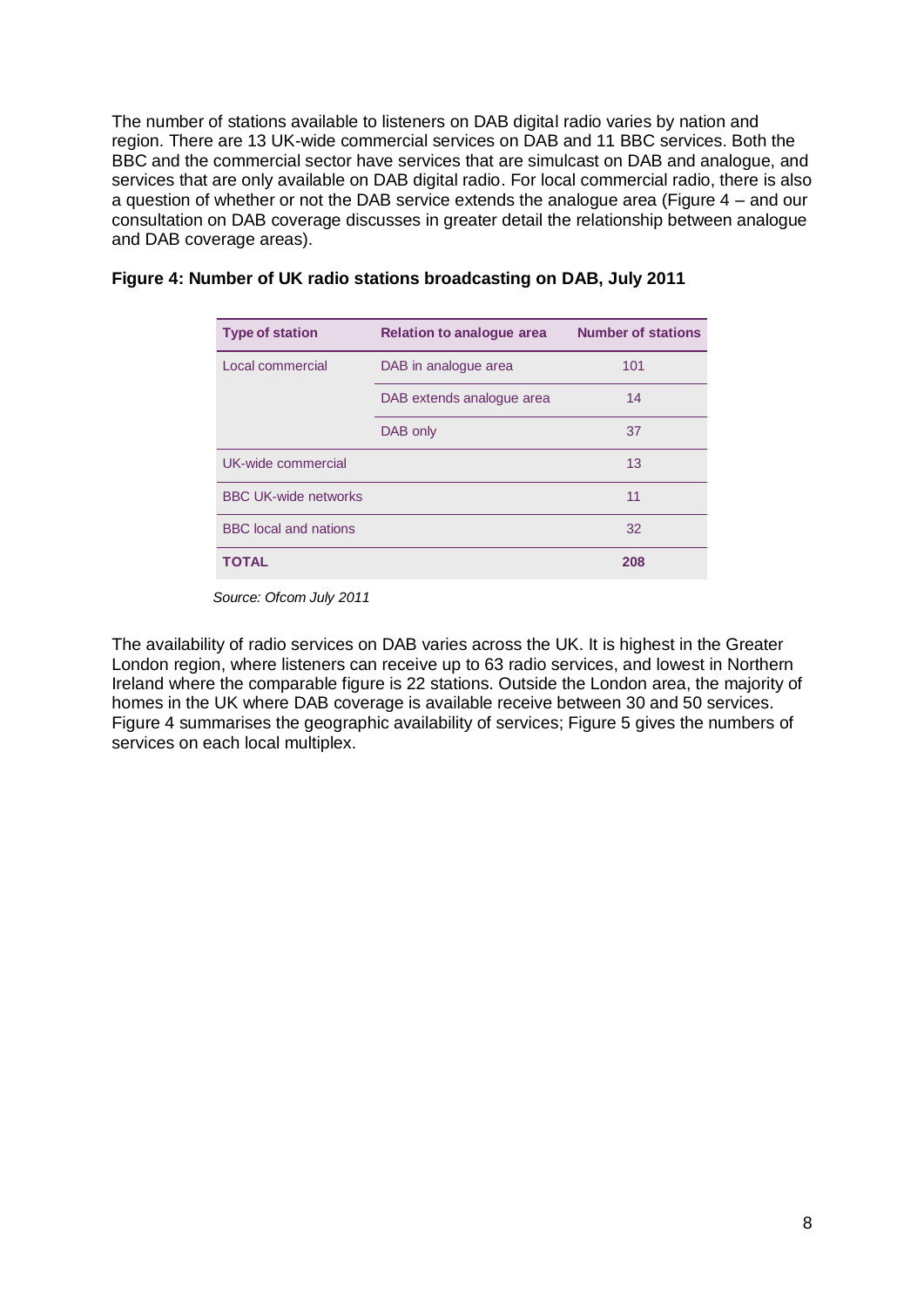The number of stations available to listeners on DAB digital radio varies by nation and region. There are 13 UK-wide commercial services on DAB and 11 BBC services. Both the BBC and the commercial sector have services that are simulcast on DAB and analogue, and services that are only available on DAB digital radio. For local commercial radio, there is also a question of whether or not the DAB service extends the analogue area (Figure 4 – and our consultation on DAB coverage discusses in greater detail the relationship between analogue and DAB coverage areas).

| <b>Type of station</b>       | <b>Relation to analogue area</b> | <b>Number of stations</b> |
|------------------------------|----------------------------------|---------------------------|
| Local commercial             | DAB in analogue area             | 101                       |
|                              | DAB extends analogue area        | 14                        |
|                              | DAB only                         | 37                        |
| UK-wide commercial           |                                  | 13                        |
| <b>BBC UK-wide networks</b>  |                                  | 11                        |
| <b>BBC</b> local and nations |                                  | 32                        |
| TOTAL                        |                                  | 208                       |

#### **Figure 4: Number of UK radio stations broadcasting on DAB, July 2011**

 *Source: Ofcom July 2011*

The availability of radio services on DAB varies across the UK. It is highest in the Greater London region, where listeners can receive up to 63 radio services, and lowest in Northern Ireland where the comparable figure is 22 stations. Outside the London area, the majority of homes in the UK where DAB coverage is available receive between 30 and 50 services. Figure 4 summarises the geographic availability of services; Figure 5 gives the numbers of services on each local multiplex.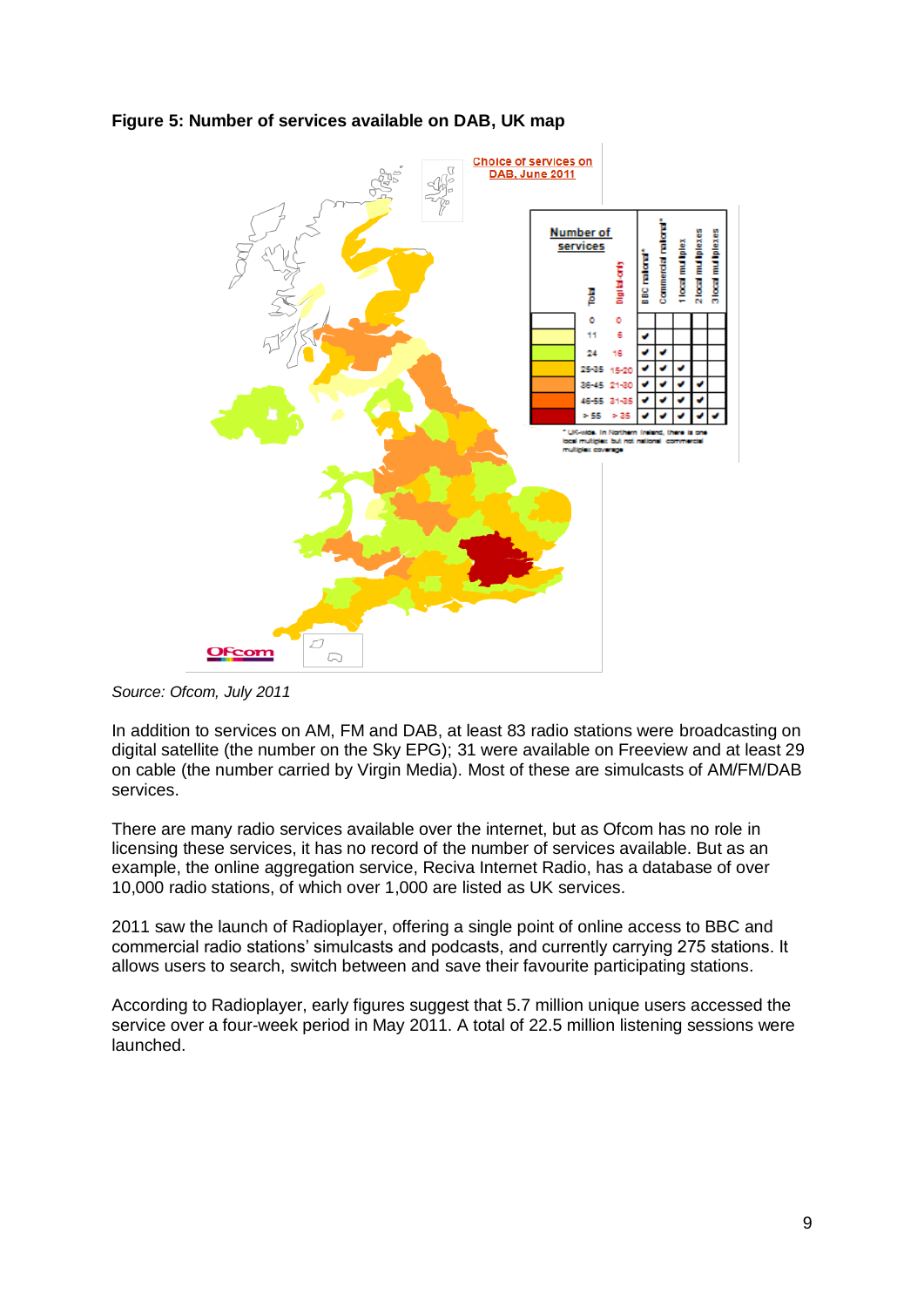



*Source: Ofcom, July 2011*

In addition to services on AM, FM and DAB, at least 83 radio stations were broadcasting on digital satellite (the number on the Sky EPG); 31 were available on Freeview and at least 29 on cable (the number carried by Virgin Media). Most of these are simulcasts of AM/FM/DAB services.

There are many radio services available over the internet, but as Ofcom has no role in licensing these services, it has no record of the number of services available. But as an example, the online aggregation service, Reciva Internet Radio, has a database of over 10,000 radio stations, of which over 1,000 are listed as UK services.

2011 saw the launch of Radioplayer, offering a single point of online access to BBC and commercial radio stations' simulcasts and podcasts, and currently carrying 275 stations. It allows users to search, switch between and save their favourite participating stations.

According to Radioplayer, early figures suggest that 5.7 million unique users accessed the service over a four-week period in May 2011. A total of 22.5 million listening sessions were launched.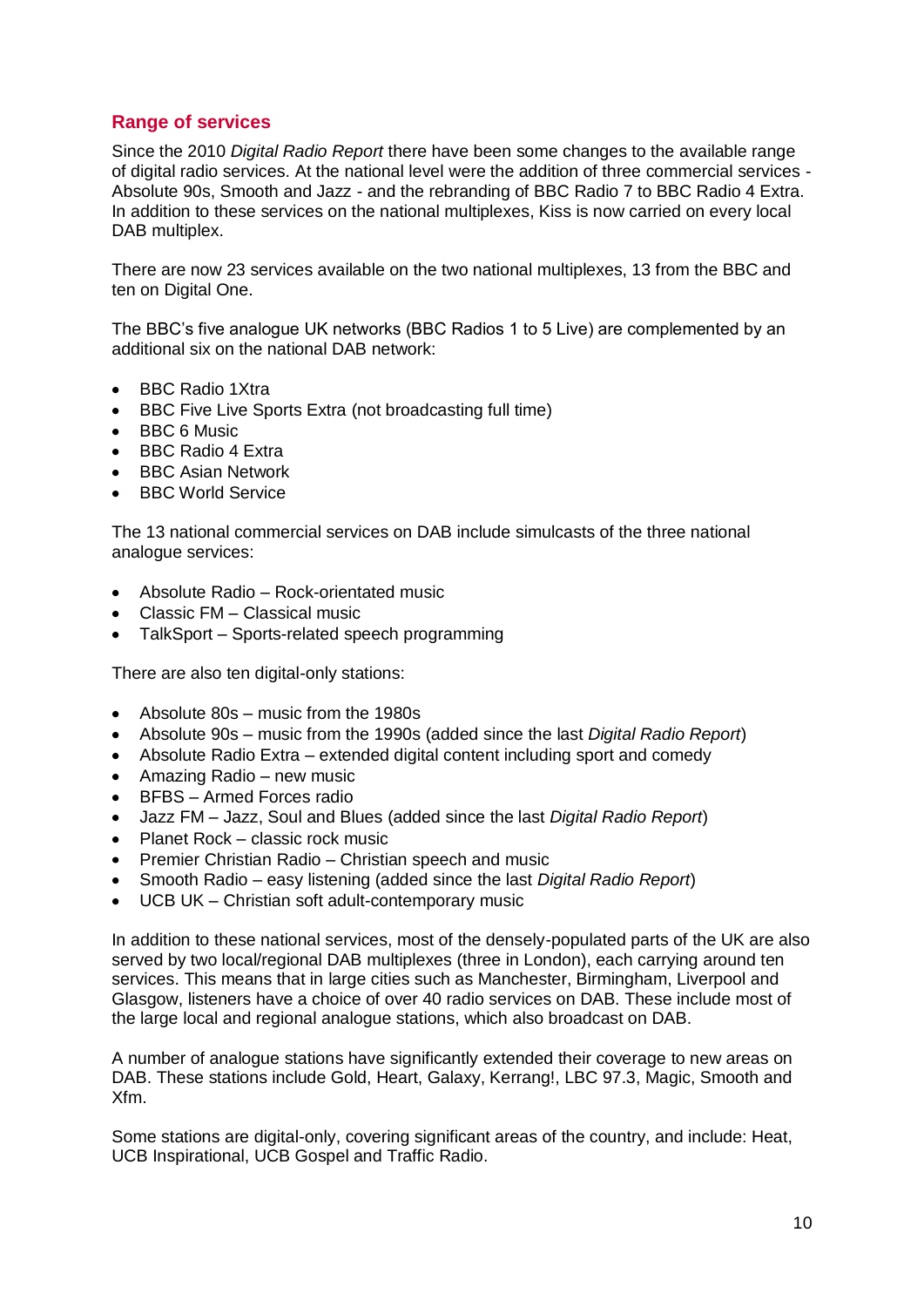# **Range of services**

Since the 2010 *Digital Radio Report* there have been some changes to the available range of digital radio services. At the national level were the addition of three commercial services - Absolute 90s, Smooth and Jazz - and the rebranding of BBC Radio 7 to BBC Radio 4 Extra. In addition to these services on the national multiplexes, Kiss is now carried on every local DAB multiplex.

There are now 23 services available on the two national multiplexes, 13 from the BBC and ten on Digital One.

The BBC's five analogue UK networks (BBC Radios 1 to 5 Live) are complemented by an additional six on the national DAB network:

- BBC Radio 1Xtra
- BBC Five Live Sports Extra (not broadcasting full time)
- BBC 6 Music
- BBC Radio 4 Extra
- BBC Asian Network
- BBC World Service

The 13 national commercial services on DAB include simulcasts of the three national analogue services:

- Absolute Radio Rock-orientated music
- Classic FM Classical music
- TalkSport Sports-related speech programming  $\bullet$

There are also ten digital-only stations:

- Absolute 80s music from the 1980s
- Absolute 90s music from the 1990s (added since the last *Digital Radio Report*)
- Absolute Radio Extra extended digital content including sport and comedy
- Amazing Radio new music
- BFBS Armed Forces radio
- Jazz FM Jazz, Soul and Blues (added since the last *Digital Radio Report*)
- Planet Rock classic rock music
- Premier Christian Radio Christian speech and music
- Smooth Radio easy listening (added since the last *Digital Radio Report*)
- UCB UK Christian soft adult-contemporary music

In addition to these national services, most of the densely-populated parts of the UK are also served by two local/regional DAB multiplexes (three in London), each carrying around ten services. This means that in large cities such as Manchester, Birmingham, Liverpool and Glasgow, listeners have a choice of over 40 radio services on DAB. These include most of the large local and regional analogue stations, which also broadcast on DAB.

A number of analogue stations have significantly extended their coverage to new areas on DAB. These stations include Gold, Heart, Galaxy, Kerrang!, LBC 97.3, Magic, Smooth and Xfm.

Some stations are digital-only, covering significant areas of the country, and include: Heat, UCB Inspirational, UCB Gospel and Traffic Radio.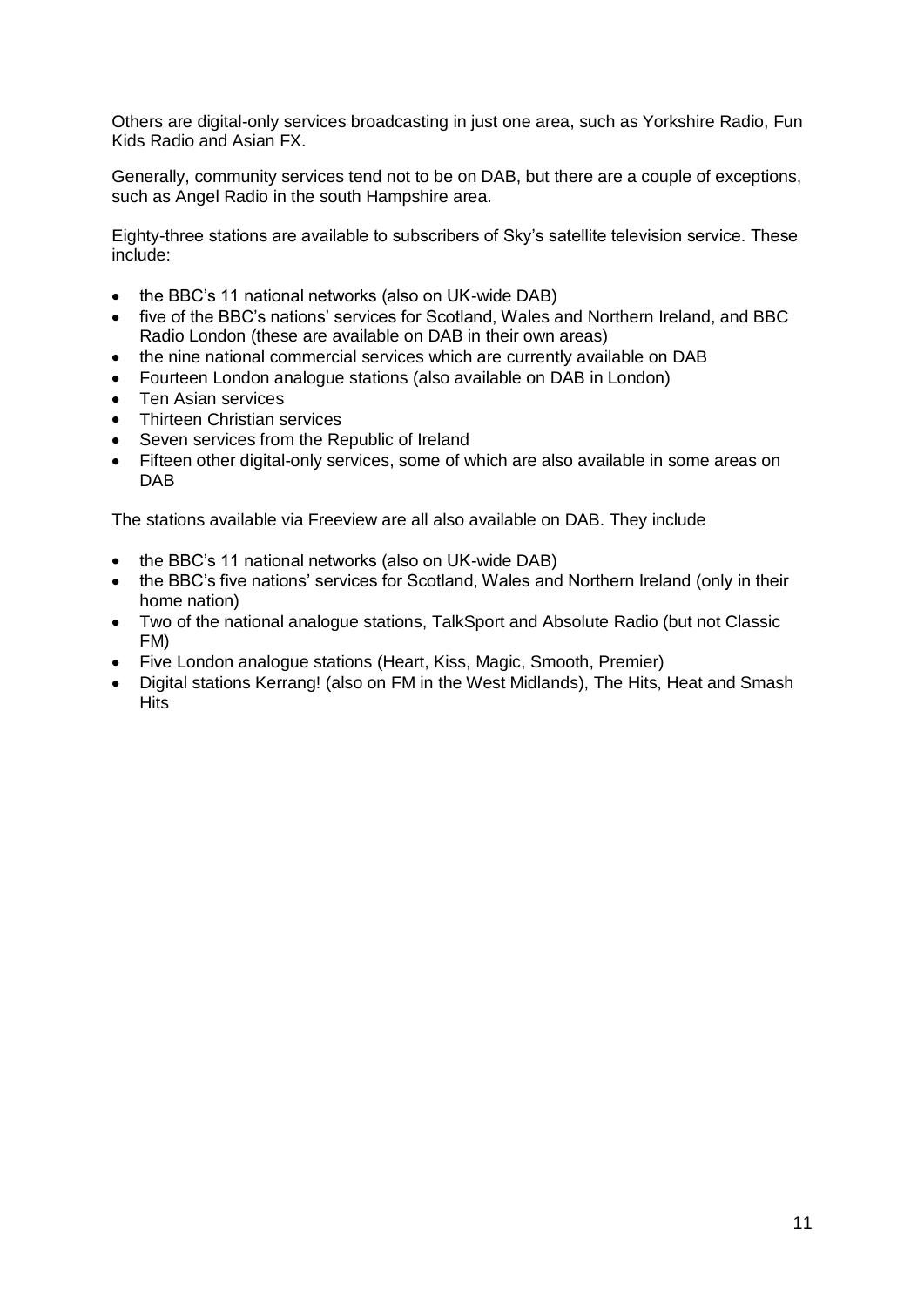Others are digital-only services broadcasting in just one area, such as Yorkshire Radio, Fun Kids Radio and Asian FX.

Generally, community services tend not to be on DAB, but there are a couple of exceptions, such as Angel Radio in the south Hampshire area.

Eighty-three stations are available to subscribers of Sky's satellite television service. These include:

- the BBC's 11 national networks (also on UK-wide DAB)
- five of the BBC's nations' services for Scotland, Wales and Northern Ireland, and BBC Radio London (these are available on DAB in their own areas)
- the nine national commercial services which are currently available on DAB
- Fourteen London analogue stations (also available on DAB in London)  $\bullet$
- Ten Asian services
- Thirteen Christian services
- Seven services from the Republic of Ireland
- $\bullet$ Fifteen other digital-only services, some of which are also available in some areas on DAB

The stations available via Freeview are all also available on DAB. They include

- the BBC's 11 national networks (also on UK-wide DAB)
- the BBC's five nations' services for Scotland, Wales and Northern Ireland (only in their home nation)
- Two of the national analogue stations, TalkSport and Absolute Radio (but not Classic FM)
- Five London analogue stations (Heart, Kiss, Magic, Smooth, Premier)
- Digital stations Kerrang! (also on FM in the West Midlands), The Hits, Heat and Smash **Hits**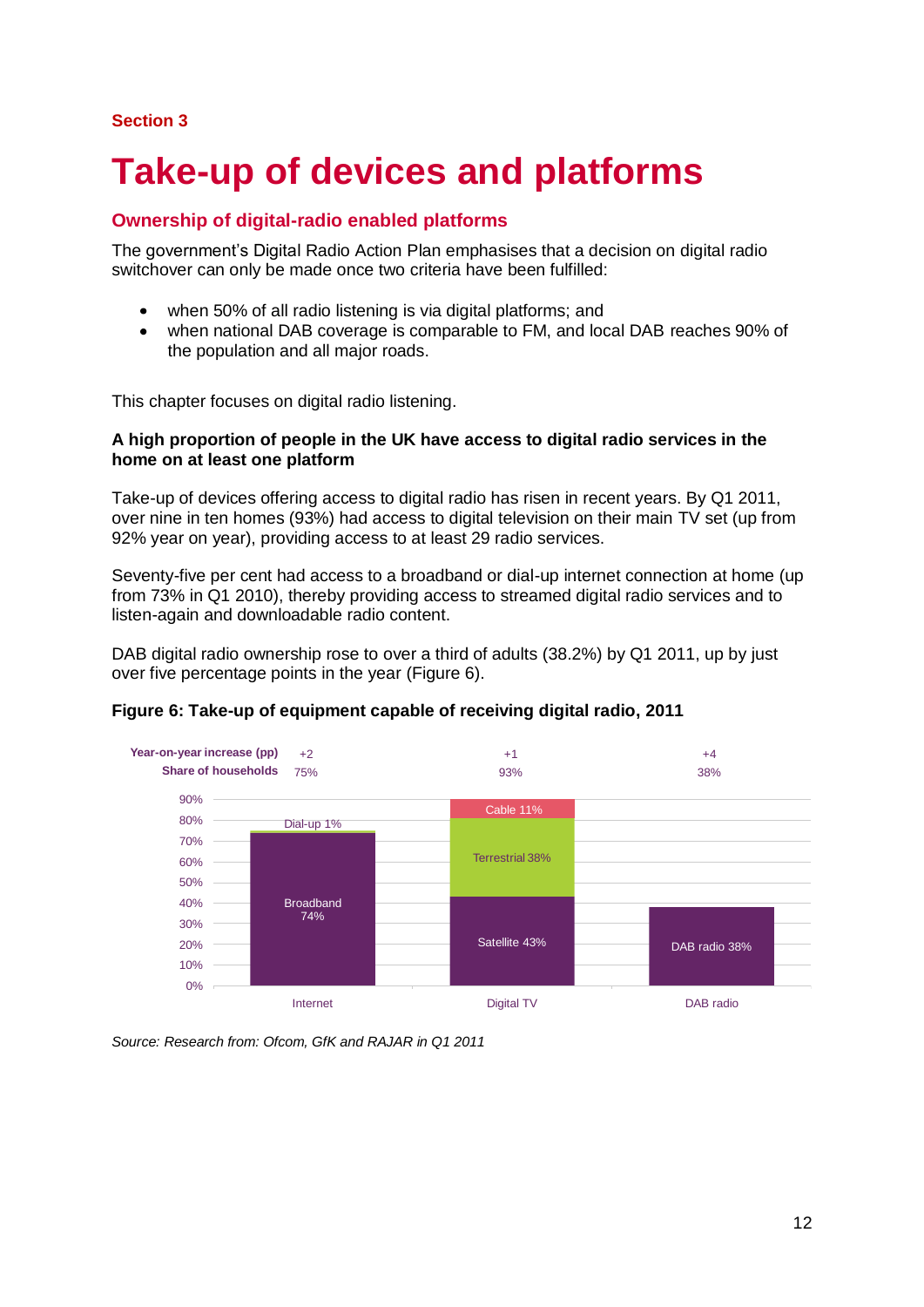#### **Section 3**

# **Take-up of devices and platforms**

## **Ownership of digital-radio enabled platforms**

The government's Digital Radio Action Plan emphasises that a decision on digital radio switchover can only be made once two criteria have been fulfilled:

- when 50% of all radio listening is via digital platforms; and  $\bullet$
- when national DAB coverage is comparable to FM, and local DAB reaches 90% of  $\bullet$ the population and all major roads.

This chapter focuses on digital radio listening.

#### **A high proportion of people in the UK have access to digital radio services in the home on at least one platform**

Take-up of devices offering access to digital radio has risen in recent years. By Q1 2011, over nine in ten homes (93%) had access to digital television on their main TV set (up from 92% year on year), providing access to at least 29 radio services.

Seventy-five per cent had access to a broadband or dial-up internet connection at home (up from 73% in Q1 2010), thereby providing access to streamed digital radio services and to listen-again and downloadable radio content.

DAB digital radio ownership rose to over a third of adults (38.2%) by Q1 2011, up by just over five percentage points in the year (Figure 6).



#### **Figure 6: Take-up of equipment capable of receiving digital radio, 2011**

*Source: Research from: Ofcom, GfK and RAJAR in Q1 2011*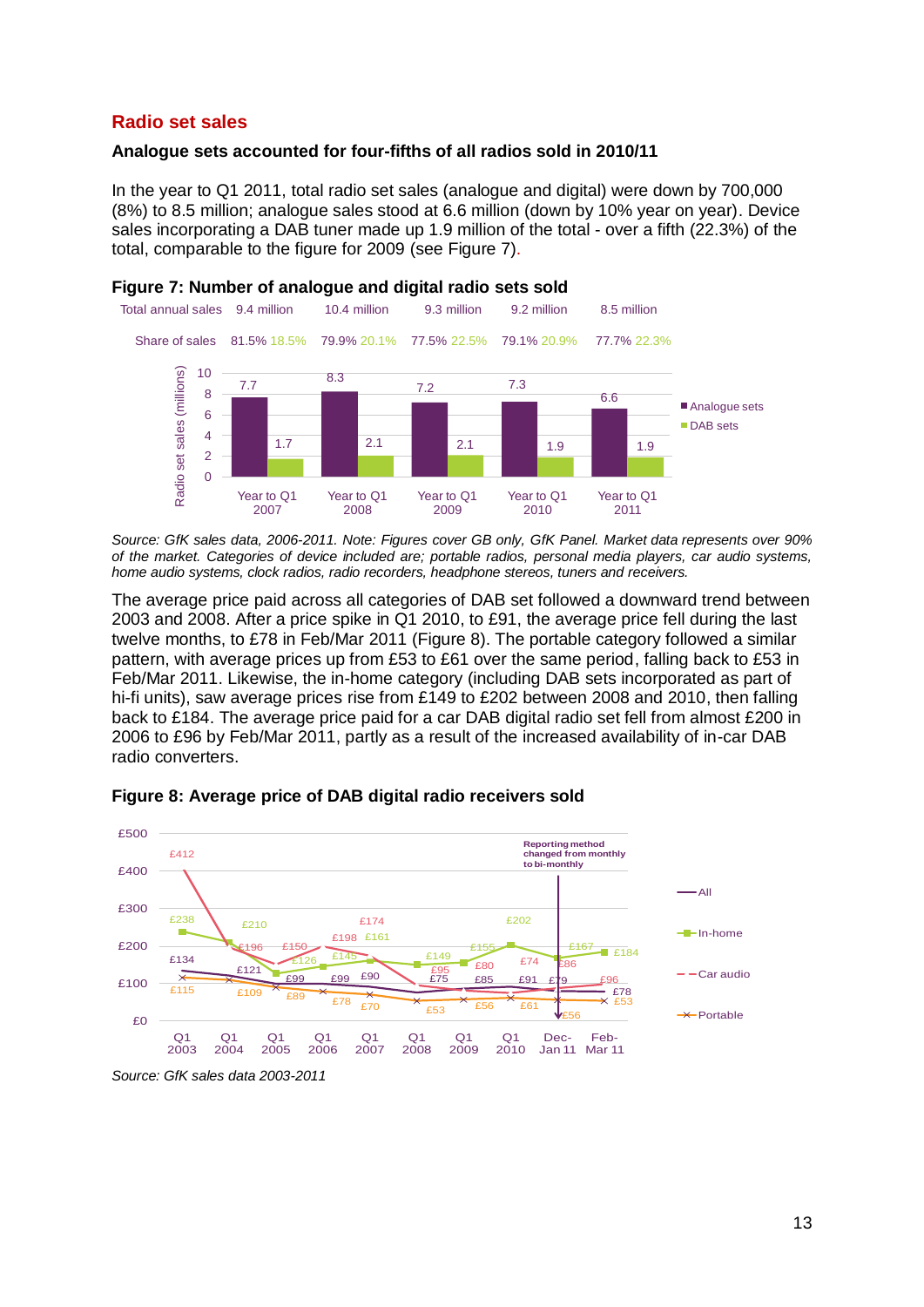### **Radio set sales**

#### **Analogue sets accounted for four-fifths of all radios sold in 2010/11**

In the year to Q1 2011, total radio set sales (analogue and digital) were down by 700,000 (8%) to 8.5 million; analogue sales stood at 6.6 million (down by 10% year on year). Device sales incorporating a DAB tuner made up 1.9 million of the total - over a fifth (22.3%) of the total, comparable to the figure for 2009 (see Figure 7).



*Source: GfK sales data, 2006-2011. Note: Figures cover GB only, GfK Panel. Market data represents over 90% of the market. Categories of device included are; portable radios, personal media players, car audio systems, home audio systems, clock radios, radio recorders, headphone stereos, tuners and receivers.*

The average price paid across all categories of DAB set followed a downward trend between 2003 and 2008. After a price spike in Q1 2010, to £91, the average price fell during the last twelve months, to £78 in Feb/Mar 2011 (Figure 8). The portable category followed a similar pattern, with average prices up from £53 to £61 over the same period, falling back to £53 in Feb/Mar 2011. Likewise, the in-home category (including DAB sets incorporated as part of hi-fi units), saw average prices rise from £149 to £202 between 2008 and 2010, then falling back to £184. The average price paid for a car DAB digital radio set fell from almost £200 in 2006 to £96 by Feb/Mar 2011, partly as a result of the increased availability of in-car DAB radio converters.



#### **Figure 8: Average price of DAB digital radio receivers sold**

*Source: GfK sales data 2003-2011*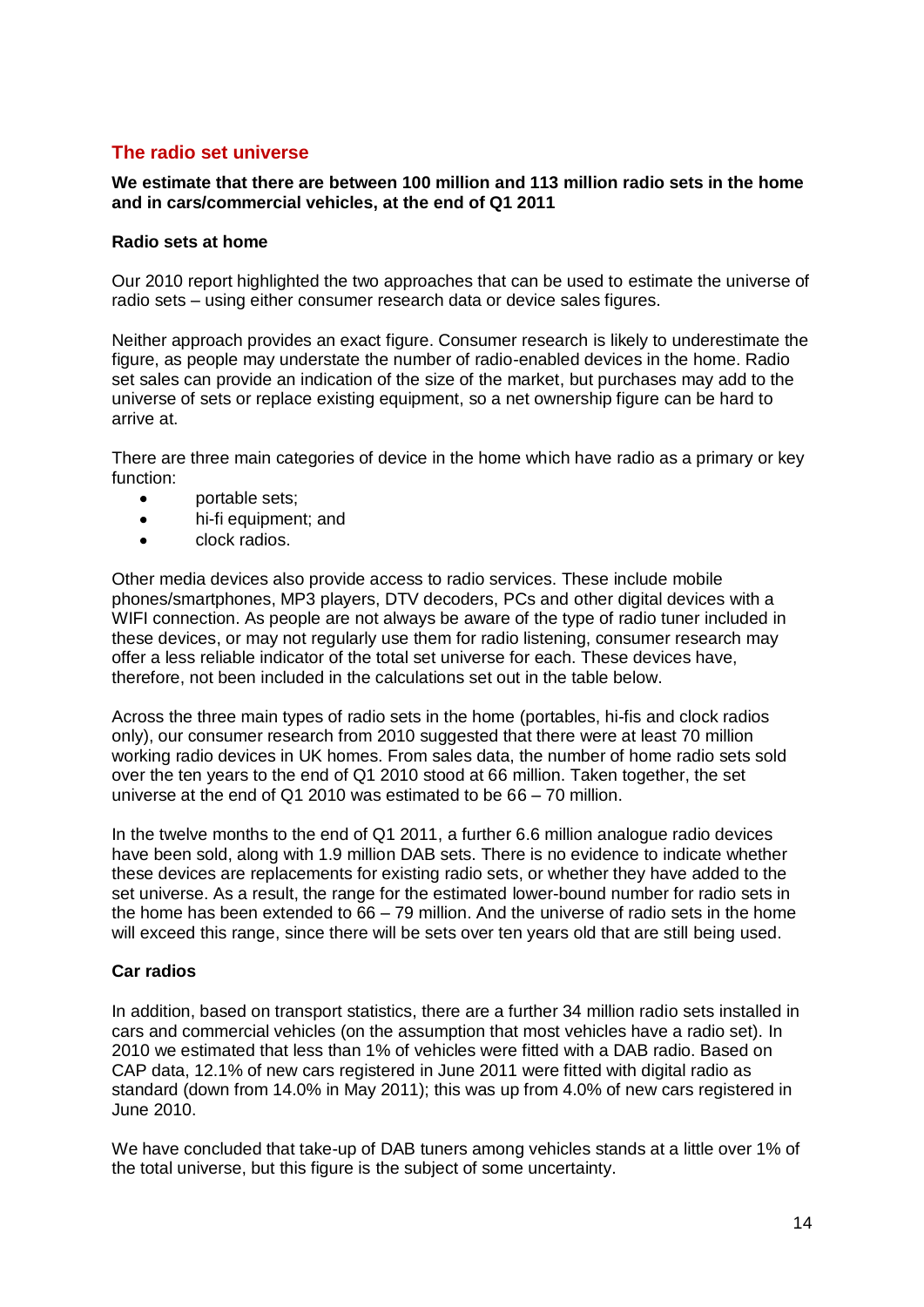# **The radio set universe**

#### **We estimate that there are between 100 million and 113 million radio sets in the home and in cars/commercial vehicles, at the end of Q1 2011**

#### **Radio sets at home**

Our 2010 report highlighted the two approaches that can be used to estimate the universe of radio sets – using either consumer research data or device sales figures.

Neither approach provides an exact figure. Consumer research is likely to underestimate the figure, as people may understate the number of radio-enabled devices in the home. Radio set sales can provide an indication of the size of the market, but purchases may add to the universe of sets or replace existing equipment, so a net ownership figure can be hard to arrive at.

There are three main categories of device in the home which have radio as a primary or key function:

- portable sets;  $\bullet$
- $\bullet$ hi-fi equipment; and
- clock radios.  $\bullet$

Other media devices also provide access to radio services. These include mobile phones/smartphones, MP3 players, DTV decoders, PCs and other digital devices with a WIFI connection. As people are not always be aware of the type of radio tuner included in these devices, or may not regularly use them for radio listening, consumer research may offer a less reliable indicator of the total set universe for each. These devices have, therefore, not been included in the calculations set out in the table below.

Across the three main types of radio sets in the home (portables, hi-fis and clock radios only), our consumer research from 2010 suggested that there were at least 70 million working radio devices in UK homes. From sales data, the number of home radio sets sold over the ten years to the end of Q1 2010 stood at 66 million. Taken together, the set universe at the end of Q1 2010 was estimated to be 66 – 70 million.

In the twelve months to the end of Q1 2011, a further 6.6 million analogue radio devices have been sold, along with 1.9 million DAB sets. There is no evidence to indicate whether these devices are replacements for existing radio sets, or whether they have added to the set universe. As a result, the range for the estimated lower-bound number for radio sets in the home has been extended to 66 – 79 million. And the universe of radio sets in the home will exceed this range, since there will be sets over ten years old that are still being used.

#### **Car radios**

In addition, based on transport statistics, there are a further 34 million radio sets installed in cars and commercial vehicles (on the assumption that most vehicles have a radio set). In 2010 we estimated that less than 1% of vehicles were fitted with a DAB radio. Based on CAP data, 12.1% of new cars registered in June 2011 were fitted with digital radio as standard (down from 14.0% in May 2011); this was up from 4.0% of new cars registered in June 2010.

We have concluded that take-up of DAB tuners among vehicles stands at a little over 1% of the total universe, but this figure is the subject of some uncertainty.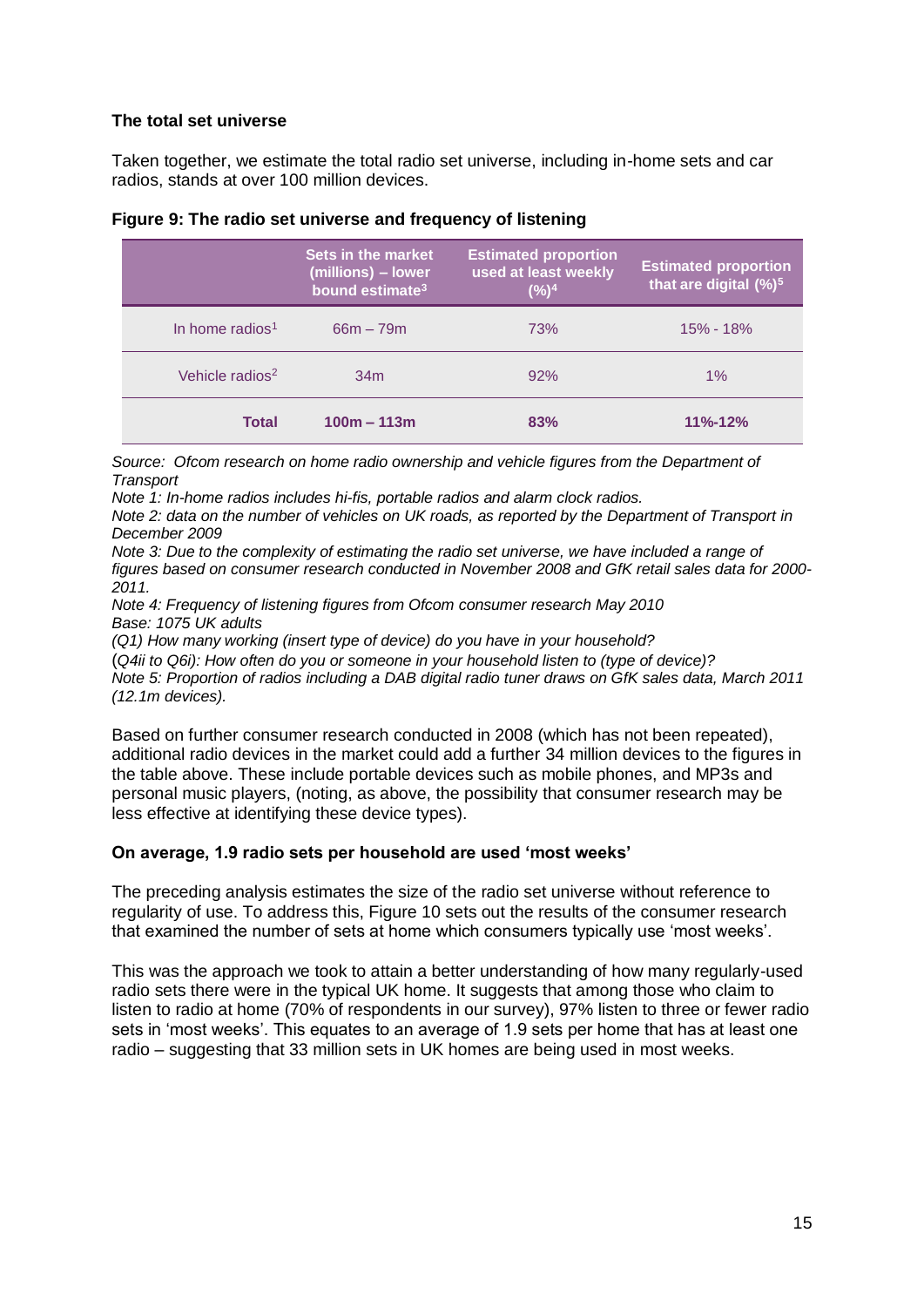#### **The total set universe**

Taken together, we estimate the total radio set universe, including in-home sets and car radios, stands at over 100 million devices.

|                             | Sets in the market<br>(millions) - lower<br>bound estimate <sup>3</sup> | <b>Estimated proportion</b><br><b>used at least weekly</b><br>(%) <sup>4</sup> | <b>Estimated proportion</b><br>that are digital (%) <sup>5</sup> |
|-----------------------------|-------------------------------------------------------------------------|--------------------------------------------------------------------------------|------------------------------------------------------------------|
| In home radios <sup>1</sup> | $66m - 79m$                                                             | 73%                                                                            | $15\% - 18\%$                                                    |
| Vehicle radios <sup>2</sup> | 34 <sub>m</sub>                                                         | 92%                                                                            | $1\%$                                                            |
| <b>Total</b>                | $100m - 113m$                                                           | 83%                                                                            | $11\% - 12\%$                                                    |

#### **Figure 9: The radio set universe and frequency of listening**

*Source: Ofcom research on home radio ownership and vehicle figures from the Department of Transport*

*Note 1: In-home radios includes hi-fis, portable radios and alarm clock radios.* 

*Note 2: data on the number of vehicles on UK roads, as reported by the Department of Transport in December 2009*

*Note 3: Due to the complexity of estimating the radio set universe, we have included a range of figures based on consumer research conducted in November 2008 and GfK retail sales data for 2000- 2011.*

*Note 4: Frequency of listening figures from Ofcom consumer research May 2010 Base: 1075 UK adults* 

*(Q1) How many working (insert type of device) do you have in your household?*

(*Q4ii to Q6i): How often do you or someone in your household listen to (type of device)? Note 5: Proportion of radios including a DAB digital radio tuner draws on GfK sales data, March 2011 (12.1m devices).* 

Based on further consumer research conducted in 2008 (which has not been repeated), additional radio devices in the market could add a further 34 million devices to the figures in the table above. These include portable devices such as mobile phones, and MP3s and personal music players, (noting, as above, the possibility that consumer research may be less effective at identifying these device types).

#### **On average, 1.9 radio sets per household are used 'most weeks'**

The preceding analysis estimates the size of the radio set universe without reference to regularity of use. To address this, Figure 10 sets out the results of the consumer research that examined the number of sets at home which consumers typically use 'most weeks'.

This was the approach we took to attain a better understanding of how many regularly-used radio sets there were in the typical UK home. It suggests that among those who claim to listen to radio at home (70% of respondents in our survey), 97% listen to three or fewer radio sets in 'most weeks'. This equates to an average of 1.9 sets per home that has at least one radio – suggesting that 33 million sets in UK homes are being used in most weeks.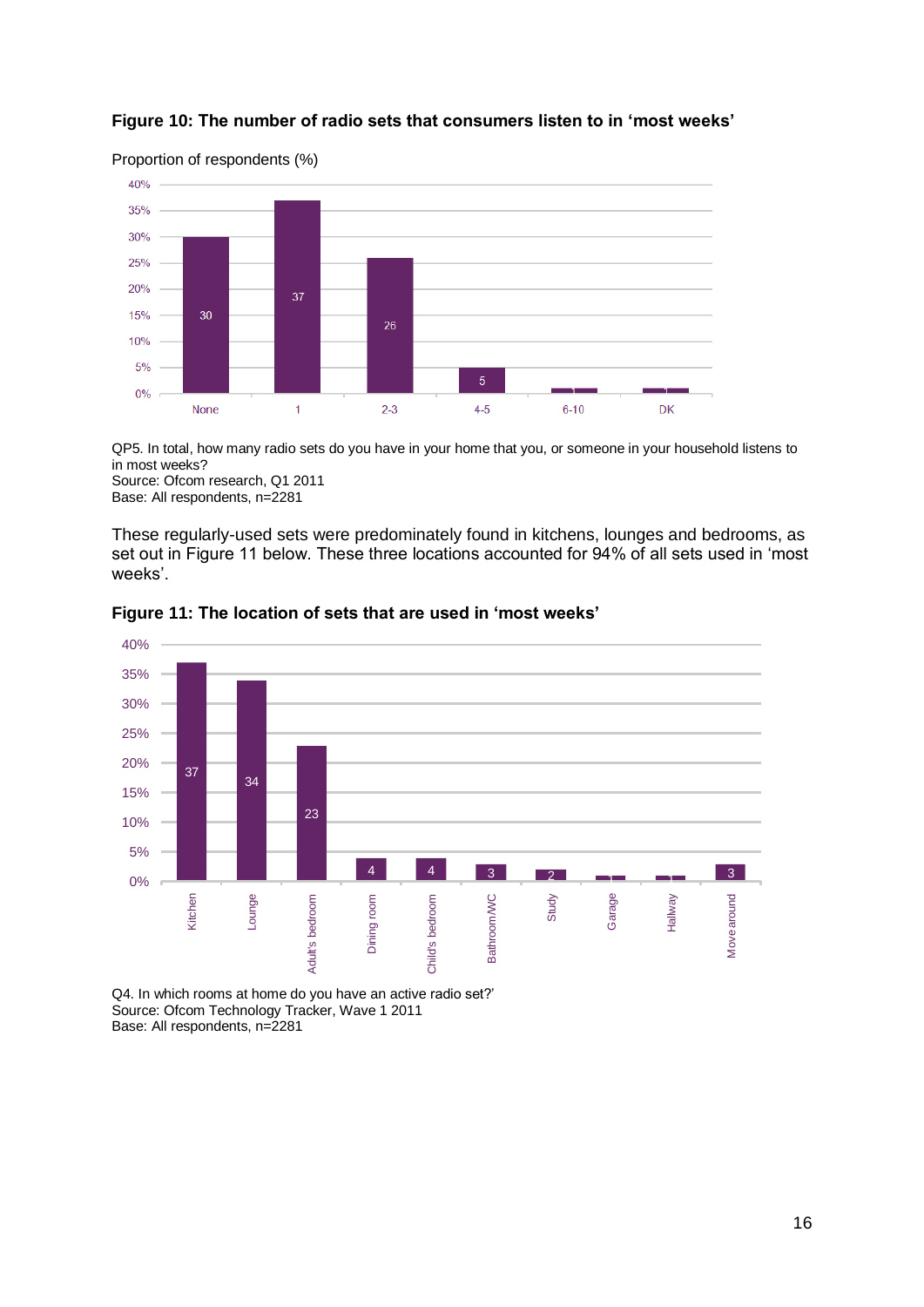

#### **Figure 10: The number of radio sets that consumers listen to in 'most weeks'**

QP5. In total, how many radio sets do you have in your home that you, or someone in your household listens to in most weeks?

Source: Ofcom research, Q1 2011 Base: All respondents, n=2281

These regularly-used sets were predominately found in kitchens, lounges and bedrooms, as set out in Figure 11 below. These three locations accounted for 94% of all sets used in 'most weeks'.



**Figure 11: The location of sets that are used in 'most weeks'**

Q4. In which rooms at home do you have an active radio set?' Source: Ofcom Technology Tracker, Wave 1 2011 Base: All respondents, n=2281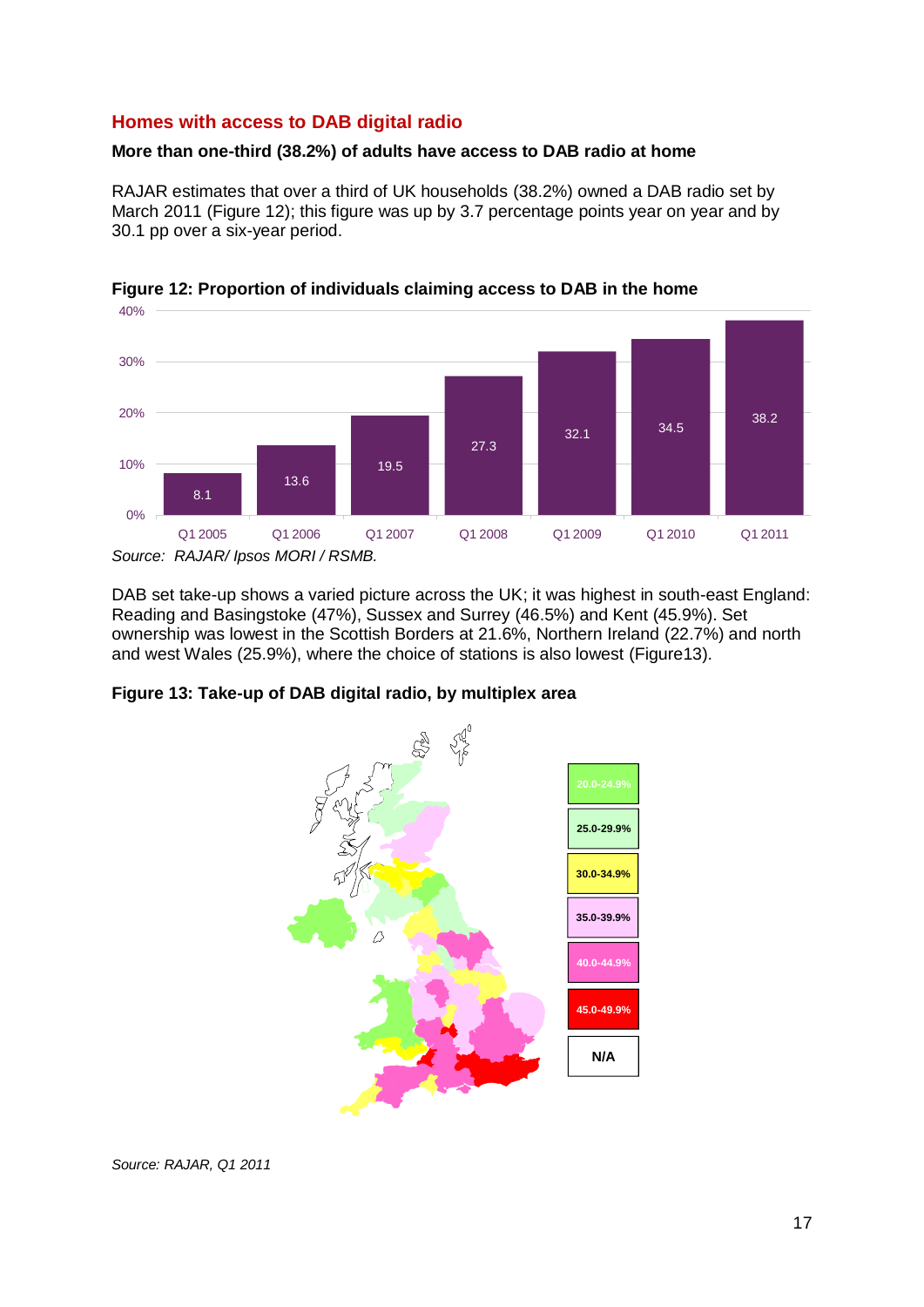# **Homes with access to DAB digital radio**

#### **More than one-third (38.2%) of adults have access to DAB radio at home**

RAJAR estimates that over a third of UK households (38.2%) owned a DAB radio set by March 2011 (Figure 12); this figure was up by 3.7 percentage points year on year and by 30.1 pp over a six-year period.





DAB set take-up shows a varied picture across the UK; it was highest in south-east England: Reading and Basingstoke (47%), Sussex and Surrey (46.5%) and Kent (45.9%). Set ownership was lowest in the Scottish Borders at 21.6%, Northern Ireland (22.7%) and north and west Wales (25.9%), where the choice of stations is also lowest (Figure13).



**Figure 13: Take-up of DAB digital radio, by multiplex area**

*Source: RAJAR/ Ipsos MORI / RSMB.*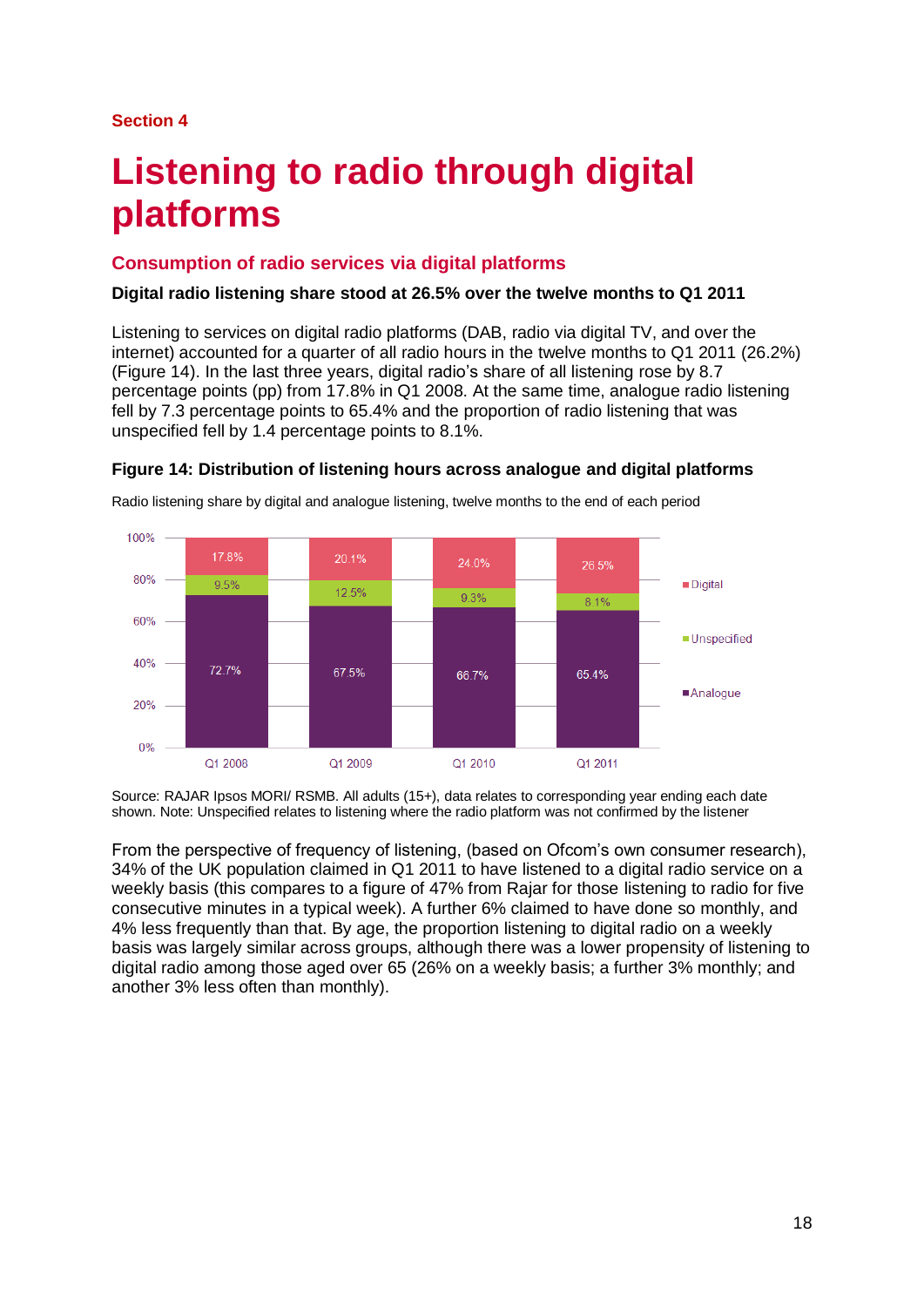#### **Section 4**

# **Listening to radio through digital platforms**

# **Consumption of radio services via digital platforms**

#### **Digital radio listening share stood at 26.5% over the twelve months to Q1 2011**

Listening to services on digital radio platforms (DAB, radio via digital TV, and over the internet) accounted for a quarter of all radio hours in the twelve months to Q1 2011 (26.2%) (Figure 14). In the last three years, digital radio's share of all listening rose by 8.7 percentage points (pp) from 17.8% in Q1 2008. At the same time, analogue radio listening fell by 7.3 percentage points to 65.4% and the proportion of radio listening that was unspecified fell by 1.4 percentage points to 8.1%.



**Figure 14: Distribution of listening hours across analogue and digital platforms**

Radio listening share by digital and analogue listening, twelve months to the end of each period

Source: RAJAR Ipsos MORI/ RSMB. All adults (15+), data relates to corresponding year ending each date shown. Note: Unspecified relates to listening where the radio platform was not confirmed by the listener

From the perspective of frequency of listening, (based on Ofcom's own consumer research), 34% of the UK population claimed in Q1 2011 to have listened to a digital radio service on a weekly basis (this compares to a figure of 47% from Rajar for those listening to radio for five consecutive minutes in a typical week). A further 6% claimed to have done so monthly, and 4% less frequently than that. By age, the proportion listening to digital radio on a weekly basis was largely similar across groups, although there was a lower propensity of listening to digital radio among those aged over 65 (26% on a weekly basis; a further 3% monthly; and another 3% less often than monthly).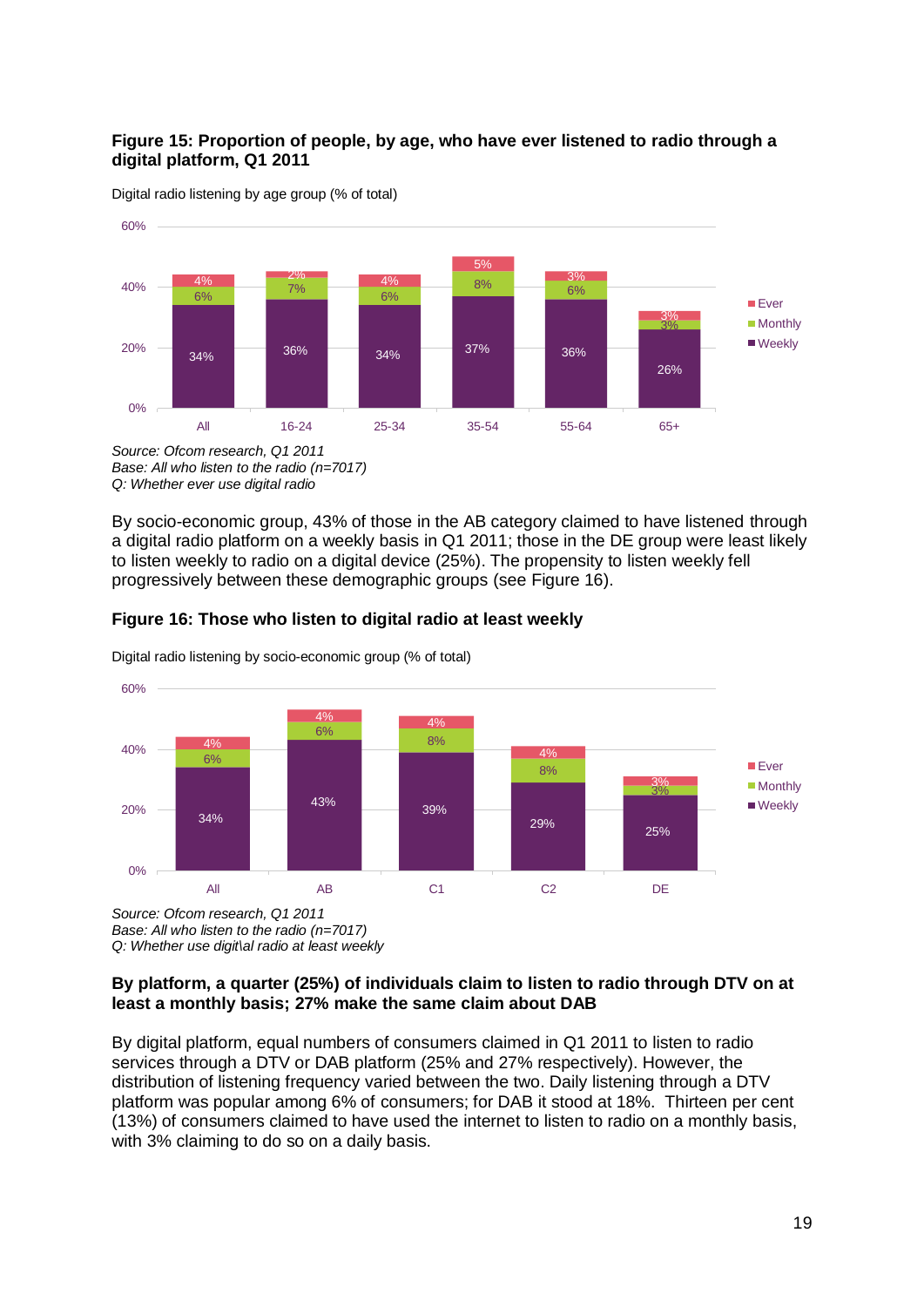### **Figure 15: Proportion of people, by age, who have ever listened to radio through a digital platform, Q1 2011**





*Base: All who listen to the radio (n=7017) Q: Whether ever use digital radio*

By socio-economic group, 43% of those in the AB category claimed to have listened through a digital radio platform on a weekly basis in Q1 2011; those in the DE group were least likely to listen weekly to radio on a digital device (25%). The propensity to listen weekly fell progressively between these demographic groups (see Figure 16).



**Figure 16: Those who listen to digital radio at least weekly**

Digital radio listening by socio-economic group (% of total)

*Source: Ofcom research, Q1 2011 Base: All who listen to the radio (n=7017) Q: Whether use digit\al radio at least weekly*

#### **By platform, a quarter (25%) of individuals claim to listen to radio through DTV on at least a monthly basis; 27% make the same claim about DAB**

By digital platform, equal numbers of consumers claimed in Q1 2011 to listen to radio services through a DTV or DAB platform (25% and 27% respectively). However, the distribution of listening frequency varied between the two. Daily listening through a DTV platform was popular among 6% of consumers; for DAB it stood at 18%. Thirteen per cent (13%) of consumers claimed to have used the internet to listen to radio on a monthly basis, with 3% claiming to do so on a daily basis.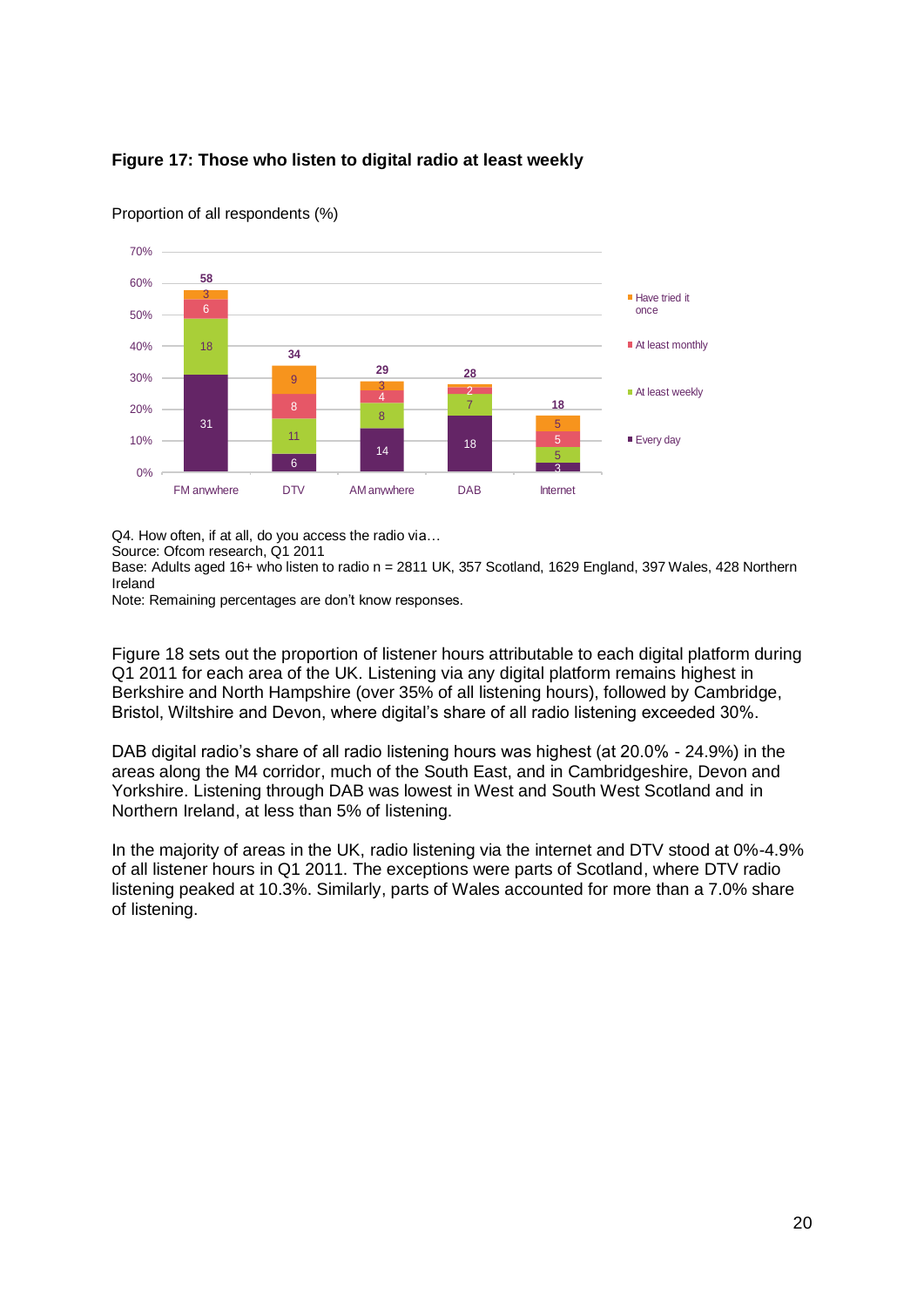



Proportion of all respondents (%)

Q4. How often, if at all, do you access the radio via…

Source: Ofcom research, Q1 2011

Base: Adults aged 16+ who listen to radio n = 2811 UK, 357 Scotland, 1629 England, 397 Wales, 428 Northern Ireland

Note: Remaining percentages are don't know responses.

Figure 18 sets out the proportion of listener hours attributable to each digital platform during Q1 2011 for each area of the UK. Listening via any digital platform remains highest in Berkshire and North Hampshire (over 35% of all listening hours), followed by Cambridge, Bristol, Wiltshire and Devon, where digital's share of all radio listening exceeded 30%.

DAB digital radio's share of all radio listening hours was highest (at 20.0% - 24.9%) in the areas along the M4 corridor, much of the South East, and in Cambridgeshire, Devon and Yorkshire. Listening through DAB was lowest in West and South West Scotland and in Northern Ireland, at less than 5% of listening.

In the majority of areas in the UK, radio listening via the internet and DTV stood at 0%-4.9% of all listener hours in Q1 2011. The exceptions were parts of Scotland, where DTV radio listening peaked at 10.3%. Similarly, parts of Wales accounted for more than a 7.0% share of listening.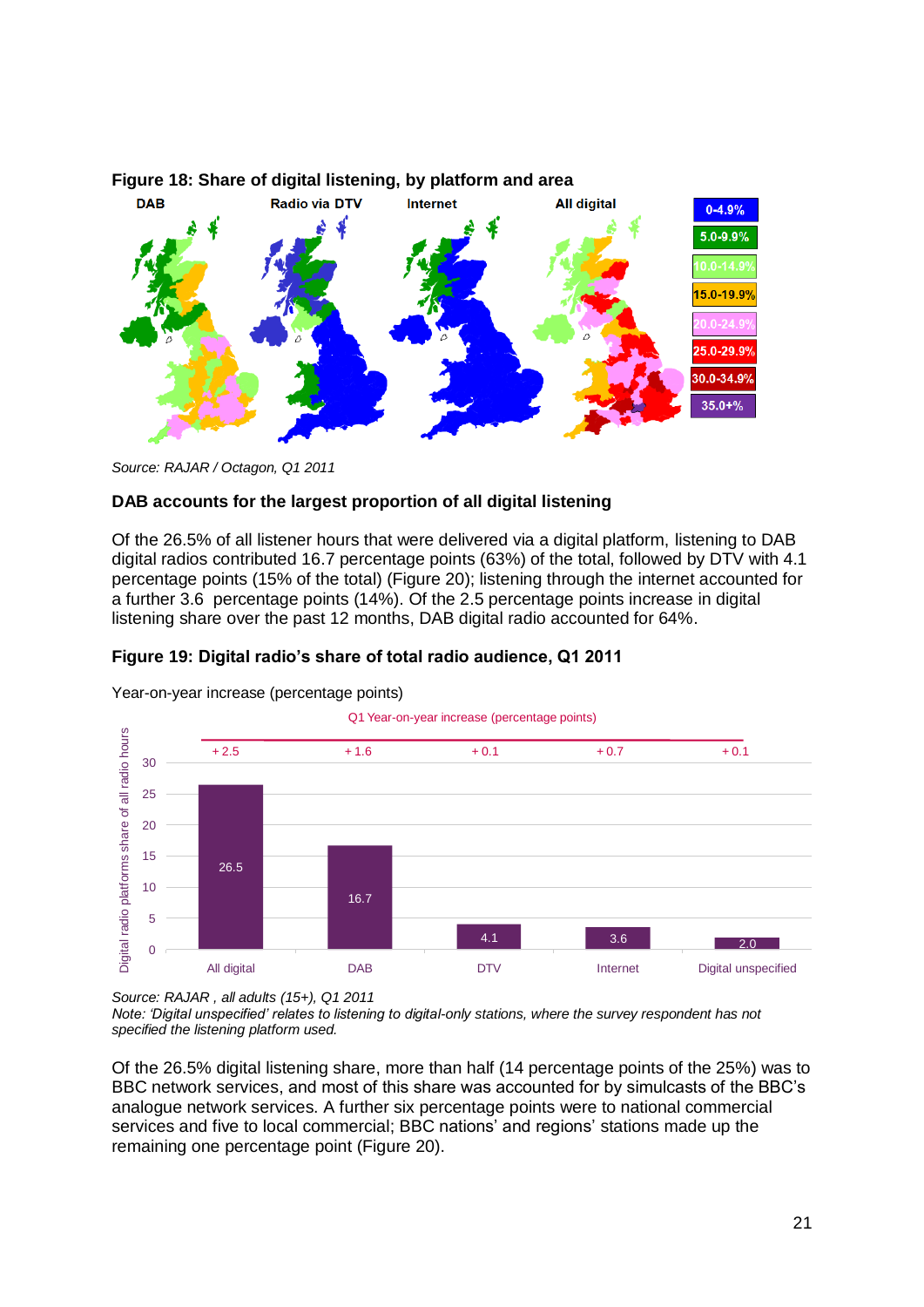

#### **Figure 18: Share of digital listening, by platform and area**



#### **DAB accounts for the largest proportion of all digital listening**

Of the 26.5% of all listener hours that were delivered via a digital platform, listening to DAB digital radios contributed 16.7 percentage points (63%) of the total, followed by DTV with 4.1 percentage points (15% of the total) (Figure 20); listening through the internet accounted for a further 3.6 percentage points (14%). Of the 2.5 percentage points increase in digital listening share over the past 12 months, DAB digital radio accounted for 64%.

#### **Figure 19: Digital radio's share of total radio audience, Q1 2011**



Year-on-year increase (percentage points)

*Source: RAJAR , all adults (15+), Q1 2011*

*Note: 'Digital unspecified' relates to listening to digital-only stations, where the survey respondent has not specified the listening platform used.* 

Of the 26.5% digital listening share, more than half (14 percentage points of the 25%) was to BBC network services, and most of this share was accounted for by simulcasts of the BBC's analogue network services. A further six percentage points were to national commercial services and five to local commercial; BBC nations' and regions' stations made up the remaining one percentage point (Figure 20).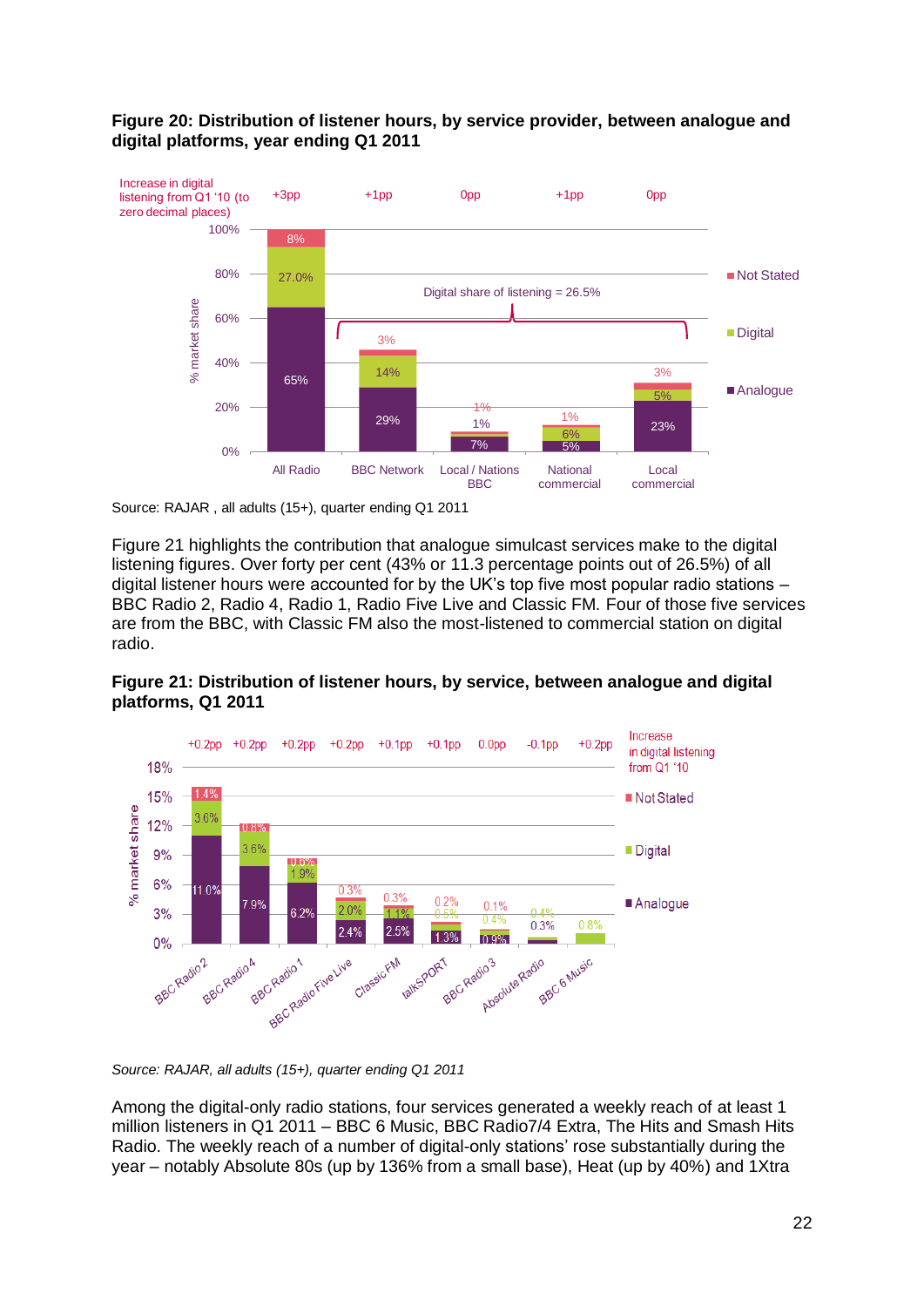

### **Figure 20: Distribution of listener hours, by service provider, between analogue and digital platforms, year ending Q1 2011**

Figure 21 highlights the contribution that analogue simulcast services make to the digital listening figures. Over forty per cent (43% or 11.3 percentage points out of 26.5%) of all digital listener hours were accounted for by the UK's top five most popular radio stations – BBC Radio 2, Radio 4, Radio 1, Radio Five Live and Classic FM. Four of those five services are from the BBC, with Classic FM also the most-listened to commercial station on digital radio.





*Source: RAJAR, all adults (15+), quarter ending Q1 2011* 

Among the digital-only radio stations, four services generated a weekly reach of at least 1 million listeners in Q1 2011 – BBC 6 Music, BBC Radio7/4 Extra, The Hits and Smash Hits Radio. The weekly reach of a number of digital-only stations' rose substantially during the year – notably Absolute 80s (up by 136% from a small base), Heat (up by 40%) and 1Xtra

Source: RAJAR , all adults (15+), quarter ending Q1 2011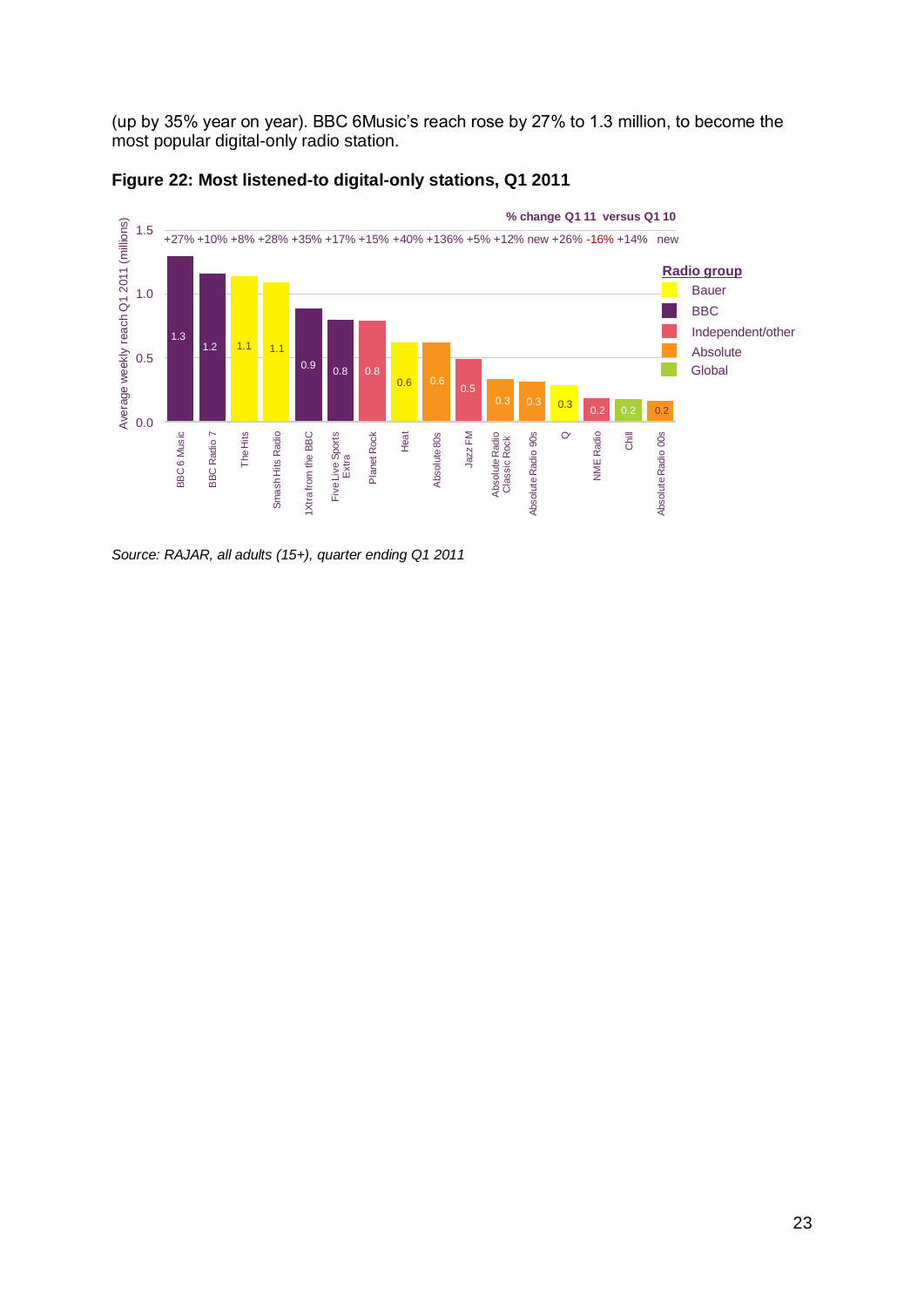(up by 35% year on year). BBC 6Music's reach rose by 27% to 1.3 million, to become the most popular digital-only radio station.



#### **Figure 22: Most listened-to digital-only stations, Q1 2011**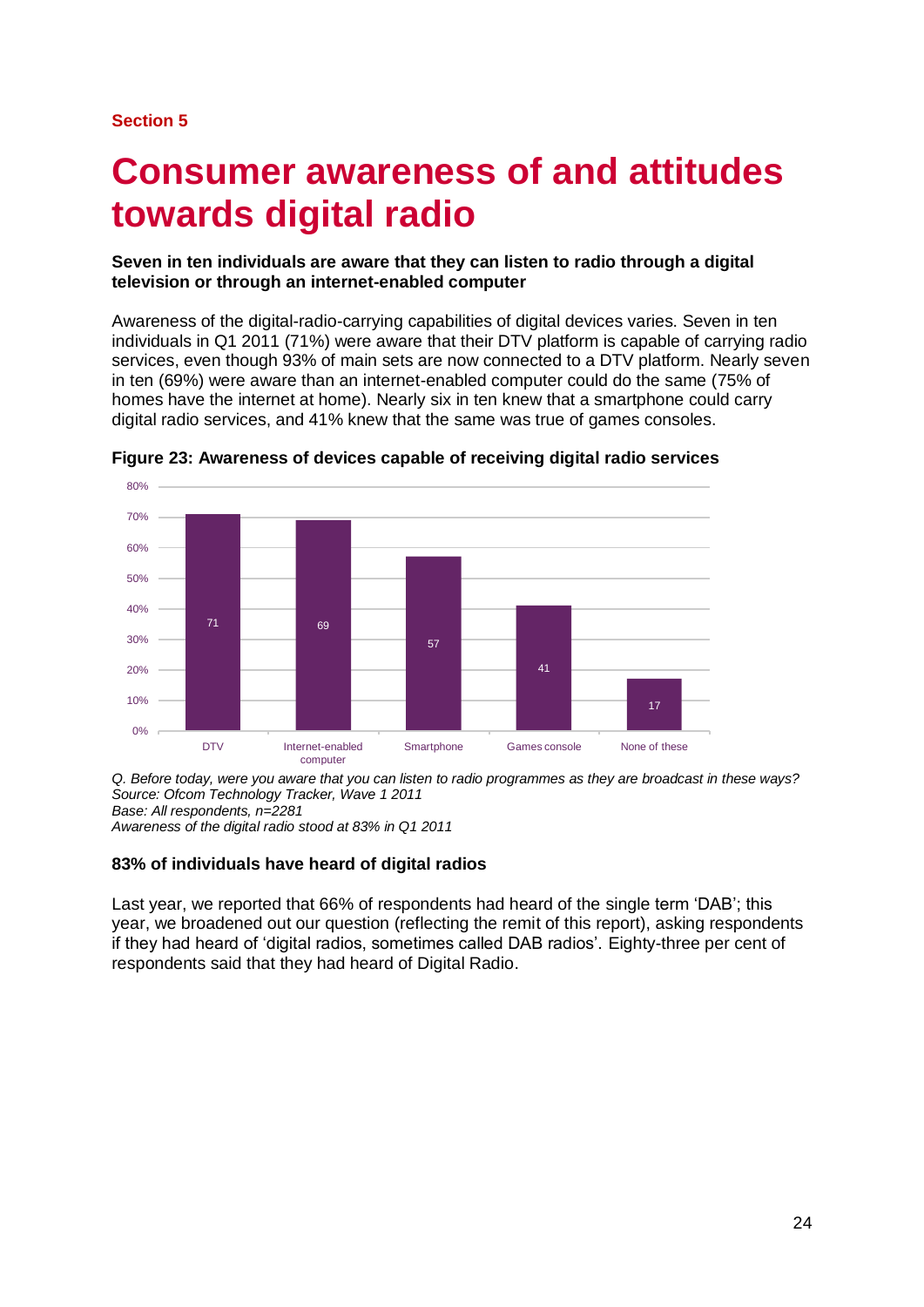#### **Section 5**

# **Consumer awareness of and attitudes towards digital radio**

#### **Seven in ten individuals are aware that they can listen to radio through a digital television or through an internet-enabled computer**

Awareness of the digital-radio-carrying capabilities of digital devices varies. Seven in ten individuals in Q1 2011 (71%) were aware that their DTV platform is capable of carrying radio services, even though 93% of main sets are now connected to a DTV platform. Nearly seven in ten (69%) were aware than an internet-enabled computer could do the same (75% of homes have the internet at home). Nearly six in ten knew that a smartphone could carry digital radio services, and 41% knew that the same was true of games consoles.



**Figure 23: Awareness of devices capable of receiving digital radio services**

*Q. Before today, were you aware that you can listen to radio programmes as they are broadcast in these ways? Source: Ofcom Technology Tracker, Wave 1 2011 Base: All respondents, n=2281 Awareness of the digital radio stood at 83% in Q1 2011*

#### **83% of individuals have heard of digital radios**

Last year, we reported that 66% of respondents had heard of the single term 'DAB'; this year, we broadened out our question (reflecting the remit of this report), asking respondents if they had heard of 'digital radios, sometimes called DAB radios'. Eighty-three per cent of respondents said that they had heard of Digital Radio.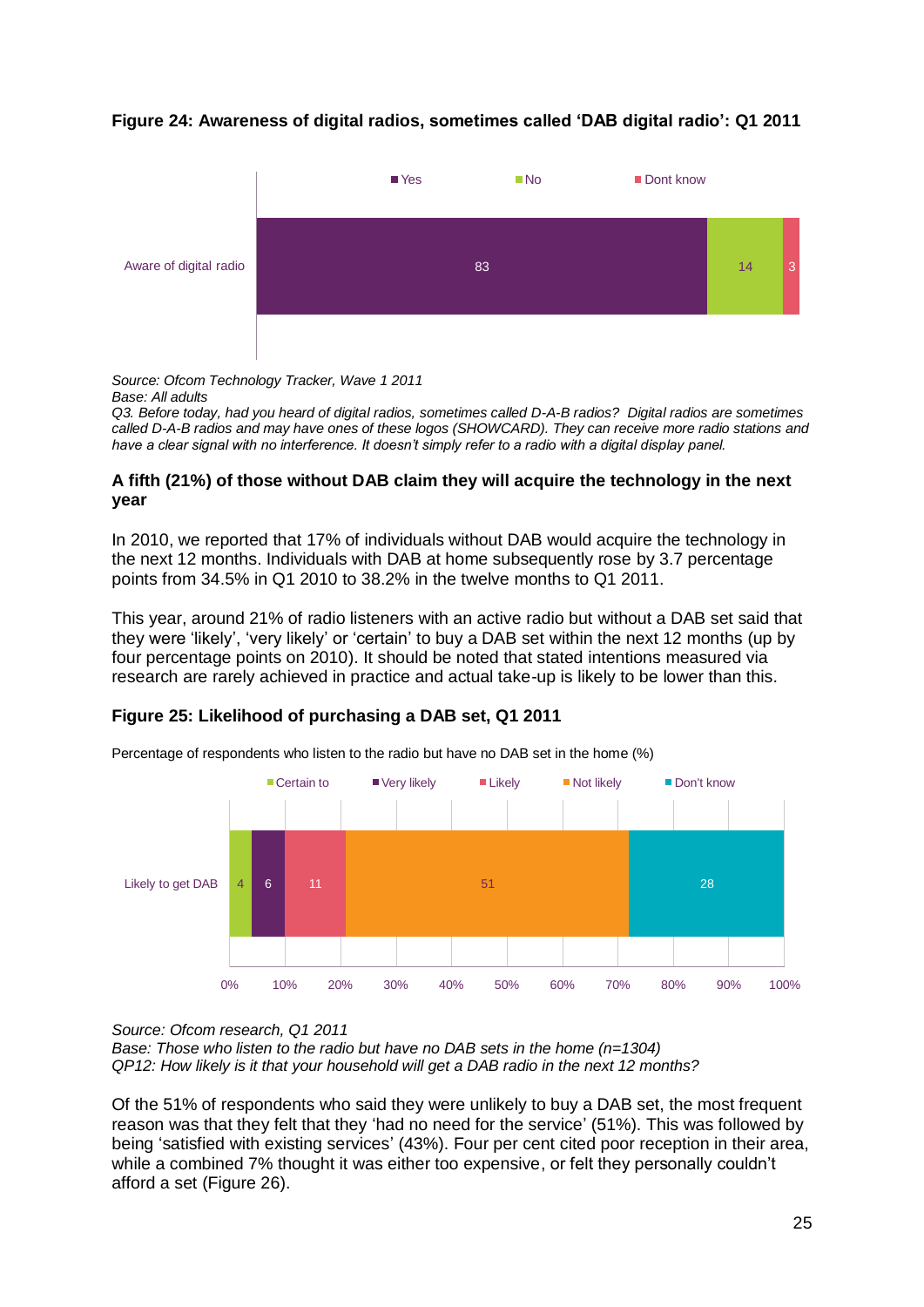### **Figure 24: Awareness of digital radios, sometimes called 'DAB digital radio': Q1 2011**



*Source: Ofcom Technology Tracker, Wave 1 2011 Base: All adults*

*Q3. Before today, had you heard of digital radios, sometimes called D-A-B radios? Digital radios are sometimes called D-A-B radios and may have ones of these logos (SHOWCARD). They can receive more radio stations and have a clear signal with no interference. It doesn't simply refer to a radio with a digital display panel.* 

#### **A fifth (21%) of those without DAB claim they will acquire the technology in the next year**

In 2010, we reported that 17% of individuals without DAB would acquire the technology in the next 12 months. Individuals with DAB at home subsequently rose by 3.7 percentage points from 34.5% in Q1 2010 to 38.2% in the twelve months to Q1 2011.

This year, around 21% of radio listeners with an active radio but without a DAB set said that they were 'likely', 'very likely' or 'certain' to buy a DAB set within the next 12 months (up by four percentage points on 2010). It should be noted that stated intentions measured via research are rarely achieved in practice and actual take-up is likely to be lower than this.

#### **Figure 25: Likelihood of purchasing a DAB set, Q1 2011**



Percentage of respondents who listen to the radio but have no DAB set in the home (%)

*Source: Ofcom research, Q1 2011 Base: Those who listen to the radio but have no DAB sets in the home (n=1304) QP12: How likely is it that your household will get a DAB radio in the next 12 months?* 

Of the 51% of respondents who said they were unlikely to buy a DAB set, the most frequent reason was that they felt that they 'had no need for the service' (51%). This was followed by being 'satisfied with existing services' (43%). Four per cent cited poor reception in their area, while a combined 7% thought it was either too expensive, or felt they personally couldn't afford a set (Figure 26).